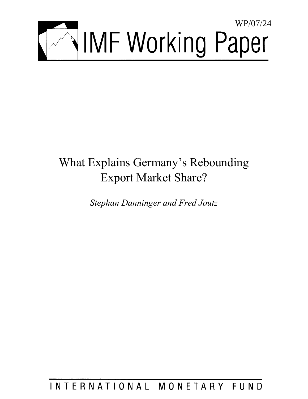

# What Explains Germany's Rebounding Export Market Share?

*Stephan Danninger and Fred Joutz* 

INTERNATIONAL MONETARY FUND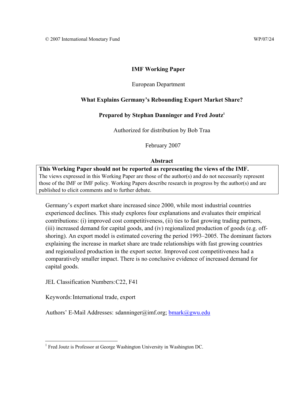## **IMF Working Paper**

## European Department

## **What Explains Germany's Rebounding Export Market Share?**

## Prepared by Stephan Danninger and Fred Joutz<sup>1</sup>

Authorized for distribution by Bob Traa

February 2007

## **Abstract**

**This Working Paper should not be reported as representing the views of the IMF.** The views expressed in this Working Paper are those of the author(s) and do not necessarily represent those of the IMF or IMF policy. Working Papers describe research in progress by the author(s) and are published to elicit comments and to further debate.

Germany's export market share increased since 2000, while most industrial countries experienced declines. This study explores four explanations and evaluates their empirical contributions: (i) improved cost competitiveness, (ii) ties to fast growing trading partners, (iii) increased demand for capital goods, and (iv) regionalized production of goods (e.g. offshoring). An export model is estimated covering the period 1993–2005. The dominant factors explaining the increase in market share are trade relationships with fast growing countries and regionalized production in the export sector. Improved cost competitiveness had a comparatively smaller impact. There is no conclusive evidence of increased demand for capital goods.

JEL Classification Numbers: C22, F41

Keywords: International trade, export

Authors' E-Mail Addresses: sdanninger@imf.org;  $bmark@gwu.edu$ 

 1 Fred Joutz is Professor at George Washington University in Washington DC.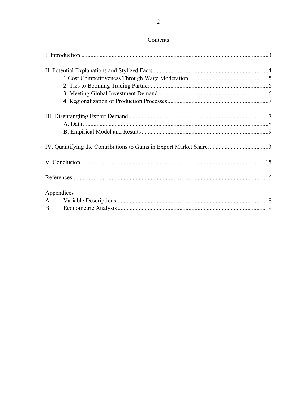| Appendices |  |
|------------|--|
|            |  |
|            |  |
|            |  |

# Contents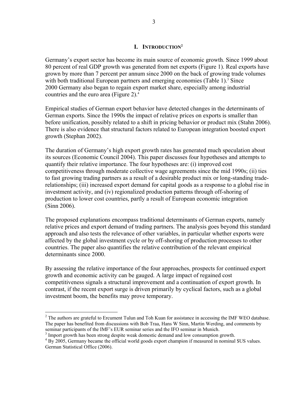## **I. INTRODUCTION2**

Germany's export sector has become its main source of economic growth. Since 1999 about 80 percent of real GDP growth was generated from net exports (Figure 1). Real exports have grown by more than 7 percent per annum since 2000 on the back of growing trade volumes with both traditional European partners and emerging economies (Table 1).<sup>3</sup> Since 2000 Germany also began to regain export market share, especially among industrial countries and the euro area (Figure 2). $<sup>4</sup>$ </sup>

Empirical studies of German export behavior have detected changes in the determinants of German exports. Since the 1990s the impact of relative prices on exports is smaller than before unification, possibly related to a shift in pricing behavior or product mix (Stahn 2006). There is also evidence that structural factors related to European integration boosted export growth (Stephan 2002).

The duration of Germany's high export growth rates has generated much speculation about its sources (Economic Council 2004). This paper discusses four hypotheses and attempts to quantify their relative importance. The four hypotheses are: (i) improved cost competitiveness through moderate collective wage agreements since the mid 1990s; (ii) ties to fast growing trading partners as a result of a desirable product mix or long-standing traderelationships; (iii) increased export demand for capital goods as a response to a global rise in investment activity, and (iv) regionalized production patterns through off-shoring of production to lower cost countries, partly a result of European economic integration (Sinn 2006).

The proposed explanations encompass traditional determinants of German exports, namely relative prices and export demand of trading partners. The analysis goes beyond this standard approach and also tests the relevance of other variables, in particular whether exports were affected by the global investment cycle or by off-shoring of production processes to other countries. The paper also quantifies the relative contribution of the relevant empirical determinants since 2000.

By assessing the relative importance of the four approaches, prospects for continued export growth and economic activity can be gauged. A large impact of regained cost competitiveness signals a structural improvement and a continuation of export growth. In contrast, if the recent export surge is driven primarily by cyclical factors, such as a global investment boom, the benefits may prove temporary.

 $\overline{a}$ 

 $2^2$  The authors are grateful to Ercument Tulun and Toh Kuan for assistance in accessing the IMF WEO database. The paper has benefited from discussions with Bob Traa, Hans W Sinn, Martin Werding, and comments by seminar participants of the IMF's EUR seminar series and the IFO seminar in Munich.

<sup>&</sup>lt;sup>3</sup> Import growth has been strong despite weak domestic demand and low consumption growth.

<sup>&</sup>lt;sup>4</sup> By 2005, Germany became the official world goods export champion if measured in nominal \$US values. German Statistical Office (2006).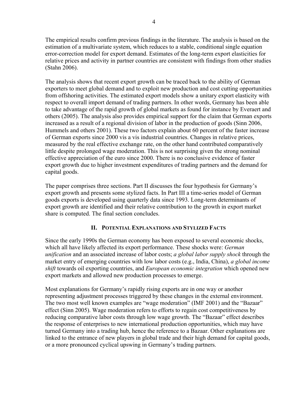The empirical results confirm previous findings in the literature. The analysis is based on the estimation of a multivariate system, which reduces to a stable, conditional single equation error-correction model for export demand. Estimates of the long-term export elasticities for relative prices and activity in partner countries are consistent with findings from other studies (Stahn 2006).

The analysis shows that recent export growth can be traced back to the ability of German exporters to meet global demand and to exploit new production and cost cutting opportunities from offshoring activities. The estimated export models show a unitary export elasticity with respect to overall import demand of trading partners. In other words, Germany has been able to take advantage of the rapid growth of global markets as found for instance by Everaert and others (2005). The analysis also provides empirical support for the claim that German exports increased as a result of a regional division of labor in the production of goods (Sinn 2006, Hummels and others 2001). These two factors explain about 60 percent of the faster increase of German exports since 2000 vis a vis industrial countries. Changes in relative prices, measured by the real effective exchange rate, on the other hand contributed comparatively little despite prolonged wage moderation. This is not surprising given the strong nominal effective appreciation of the euro since 2000. There is no conclusive evidence of faster export growth due to higher investment expenditures of trading partners and the demand for capital goods.

The paper comprises three sections. Part II discusses the four hypothesis for Germany's export growth and presents some stylized facts. In Part III a time-series model of German goods exports is developed using quarterly data since 1993. Long-term determinants of export growth are identified and their relative contribution to the growth in export market share is computed. The final section concludes.

## **II. POTENTIAL EXPLANATIONS AND STYLIZED FACTS**

Since the early 1990s the German economy has been exposed to several economic shocks, which all have likely affected its export performance. These shocks were: *German unification* and an associated increase of labor costs; *a global labor supply shock* through the market entry of emerging countries with low labor costs (e.g., India, China), *a global income shift* towards oil exporting countries, and *European economic integration* which opened new export markets and allowed new production processes to emerge.

Most explanations for Germany's rapidly rising exports are in one way or another representing adjustment processes triggered by these changes in the external environment. The two most well known examples are "wage moderation" (IMF 2001) and the "Bazaar" effect (Sinn 2005). Wage moderation refers to efforts to regain cost competitiveness by reducing comparative labor costs through low wage growth. The "Bazaar" effect describes the response of enterprises to new international production opportunities, which may have turned Germany into a trading hub, hence the reference to a Bazaar. Other explanations are linked to the entrance of new players in global trade and their high demand for capital goods, or a more pronounced cyclical upswing in Germany's trading partners.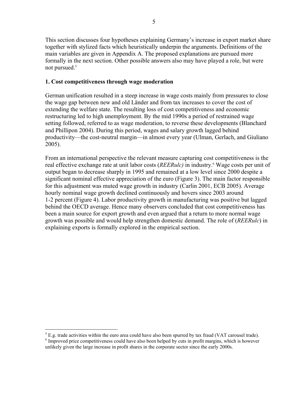This section discusses four hypotheses explaining Germany's increase in export market share together with stylized facts which heuristically underpin the arguments. Definitions of the main variables are given in Appendix A. The proposed explanations are pursued more formally in the next section. Other possible answers also may have played a role, but were not pursued.<sup>5</sup>

## **1. Cost competitiveness through wage moderation**

German unification resulted in a steep increase in wage costs mainly from pressures to close the wage gap between new and old Länder and from tax increases to cover the cost of extending the welfare state. The resulting loss of cost competitiveness and economic restructuring led to high unemployment. By the mid 1990s a period of restrained wage setting followed, referred to as wage moderation, to reverse these developments (Blanchard and Phillipon 2004). During this period, wages and salary growth lagged behind productivity—the cost-neutral margin—in almost every year (Ulman, Gerlach, and Giuliano 2005).

From an international perspective the relevant measure capturing cost competitiveness is the real effective exchange rate at unit labor costs (*REERulc)* in industry.6 Wage costs per unit of output began to decrease sharply in 1995 and remained at a low level since 2000 despite a significant nominal effective appreciation of the euro (Figure 3). The main factor responsible for this adjustment was muted wage growth in industry (Carlin 2001, ECB 2005). Average hourly nominal wage growth declined continuously and hovers since 2003 around 1-2 percent (Figure 4). Labor productivity growth in manufacturing was positive but lagged behind the OECD average. Hence many observers concluded that cost competitiveness has been a main source for export growth and even argued that a return to more normal wage growth was possible and would help strengthen domestic demand. The role of (*REERulc*) in explaining exports is formally explored in the empirical section.

<u>.</u>

 $^5$  E.g. trade activities within the euro area could have also been spurred by tax fraud (VAT carousel trade).  $<sup>6</sup>$  Improved price competitiveness could have also been helped by cuts in profit margins, which is however</sup> unlikely given the large increase in profit shares in the corporate sector since the early 2000s.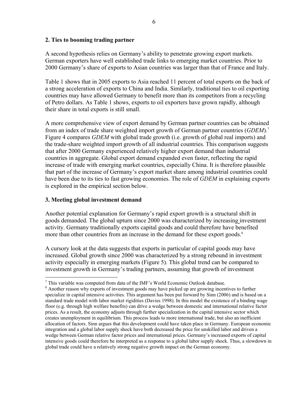## **2. Ties to booming trading partner**

A second hypothesis relies on Germany's ability to penetrate growing export markets. German exporters have well established trade links to emerging market countries. Prior to 2000 Germany's share of exports to Asian countries was larger than that of France and Italy.

Table 1 shows that in 2005 exports to Asia reached 11 percent of total exports on the back of a strong acceleration of exports to China and India. Similarly, traditional ties to oil exporting countries may have allowed Germany to benefit more than its competitors from a recycling of Petro dollars. As Table 1 shows, exports to oil exporters have grown rapidly, although their share in total exports is still small.

A more comprehensive view of export demand by German partner countries can be obtained from an index of trade share weighted import growth of German partner countries (*GDEM*).7 Figure 4 compares *GDEM* with global trade growth (i.e. growth of global real imports) and the trade-share weighted import growth of all industrial countries. This comparison suggests that after 2000 Germany experienced relatively higher export demand than industrial countries in aggregate. Global export demand expanded even faster, reflecting the rapid increase of trade with emerging market countries, especially China. It is therefore plausible that part of the increase of Germany's export market share among industrial countries could have been due to its ties to fast growing economies. The role of *GDEM* in explaining exports is explored in the empirical section below.

## **3. Meeting global investment demand**

 $\overline{a}$ 

Another potential explanation for Germany's rapid export growth is a structural shift in goods demanded. The global upturn since 2000 was characterized by increasing investment activity. Germany traditionally exports capital goods and could therefore have benefited more than other countries from an increase in the demand for these export goods.<sup>8</sup>

A cursory look at the data suggests that exports in particular of capital goods may have increased. Global growth since 2000 was characterized by a strong rebound in investment activity especially in emerging markets (Figure 5). This global trend can be compared to investment growth in Germany's trading partners, assuming that growth of investment

 $7$  This variable was computed from data of the IMF's World Economic Outlook database.

<sup>&</sup>lt;sup>8</sup> Another reason why exports of investment goods may have picked up are growing incentives to further specialize in capital intensive activities. This argument has been put forward by Sinn (2006) and is based on a standard trade model with labor market rigidities (Davies 1998). In this model the existence of a binding wage floor (e.g. through high welfare benefits) can drive a wedge between domestic and international relative factor prices. As a result, the economy adjusts through further specialization in the capital intensive sector which creates unemployment in equilibrium. This process leads to more international trade, but also an inefficient allocation of factors. Sinn argues that this development could have taken place in Germany. European economic integration and a global labor supply shock have both decreased the price for unskilled labor and driven a wedge between German relative factor prices and international prices. Germany's increased exports of capital intensive goods could therefore be interpreted as a response to a global labor supply shock. Thus, a slowdown in global trade could have a relatively strong negative growth impact on the German economy.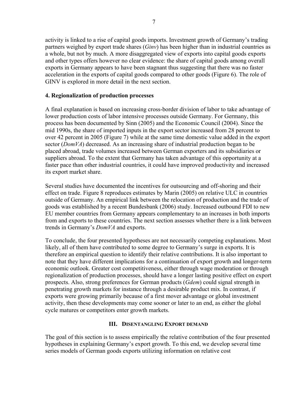activity is linked to a rise of capital goods imports. Investment growth of Germany's trading partners weighed by export trade shares (*Ginv*) has been higher than in industrial countries as a whole, but not by much. A more disaggregated view of exports into capital goods exports and other types offers however no clear evidence: the share of capital goods among overall exports in Germany appears to have been stagnant thus suggesting that there was no faster acceleration in the exports of capital goods compared to other goods (Figure 6). The role of GINV is explored in more detail in the next section.

## **4. Regionalization of production processes**

A final explanation is based on increasing cross-border division of labor to take advantage of lower production costs of labor intensive processes outside Germany. For Germany, this process has been documented by Sinn (2005) and the Economic Council (2004). Since the mid 1990s, the share of imported inputs in the export sector increased from 28 percent to over 42 percent in 2005 (Figure 7) while at the same time domestic value added in the export sector (*DomVA*) decreased. As an increasing share of industrial production began to be placed abroad, trade volumes increased between German exporters and its subsidiaries or suppliers abroad. To the extent that Germany has taken advantage of this opportunity at a faster pace than other industrial countries, it could have improved productivity and increased its export market share.

Several studies have documented the incentives for outsourcing and off-shoring and their effect on trade. Figure 8 reproduces estimates by Marin (2005) on relative ULC in countries outside of Germany. An empirical link between the relocation of production and the trade of goods was established by a recent Bundesbank (2006) study. Increased outbound FDI to new EU member countries from Germany appears complementary to an increases in both imports from and exports to these countries. The next section assesses whether there is a link between trends in Germany's *DomVA* and exports.

To conclude, the four presented hypotheses are not necessarily competing explanations. Most likely, all of them have contributed to some degree to Germany's surge in exports. It is therefore an empirical question to identify their relative contributions. It is also important to note that they have different implications for a continuation of export growth and longer-term economic outlook. Greater cost competitiveness, either through wage moderation or through regionalization of production processes, should have a longer lasting positive effect on export prospects. Also, strong preferences for German products (*Gdem*) could signal strength in penetrating growth markets for instance through a desirable product mix. In contrast, if exports were growing primarily because of a first mover advantage or global investment activity, then these developments may come sooner or later to an end, as either the global cycle matures or competitors enter growth markets.

## **III. DISENTANGLING EXPORT DEMAND**

The goal of this section is to assess empirically the relative contribution of the four presented hypotheses in explaining Germany's export growth. To this end, we develop several time series models of German goods exports utilizing information on relative cost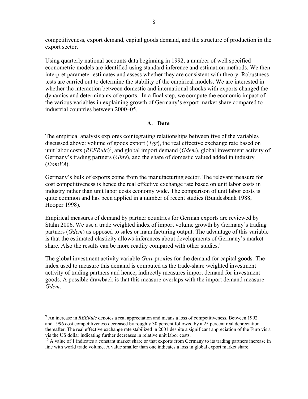competitiveness, export demand, capital goods demand, and the structure of production in the export sector.

Using quarterly national accounts data beginning in 1992, a number of well specified econometric models are identified using standard inference and estimation methods. We then interpret parameter estimates and assess whether they are consistent with theory. Robustness tests are carried out to determine the stability of the empirical models. We are interested in whether the interaction between domestic and international shocks with exports changed the dynamics and determinants of exports. In a final step, we compute the economic impact of the various variables in explaining growth of Germany's export market share compared to industrial countries between 2000–05.

## **A. Data**

The empirical analysis explores cointegrating relationships between five of the variables discussed above: volume of goods export (*Xgr*), the real effective exchange rate based on unit labor costs (*REERulc*) 9 , and global import demand (*Gdem*), global investment activity of Germany's trading partners (*Ginv*), and the share of domestic valued added in industry (*DomVA*).

Germany's bulk of exports come from the manufacturing sector. The relevant measure for cost competitiveness is hence the real effective exchange rate based on unit labor costs in industry rather than unit labor costs economy wide. The comparison of unit labor costs is quite common and has been applied in a number of recent studies (Bundesbank 1988, Hooper 1998).

Empirical measures of demand by partner countries for German exports are reviewed by Stahn 2006. We use a trade weighted index of import volume growth by Germany's trading partners (*Gdem*) as opposed to sales or manufacturing output. The advantage of this variable is that the estimated elasticity allows inferences about developments of Germany's market share. Also the results can be more readily compared with other studies.<sup>10</sup>

The global investment activity variable *Ginv* proxies for the demand for capital goods. The index used to measure this demand is computed as the trade-share weighted investment activity of trading partners and hence, indirectly measures import demand for investment goods. A possible drawback is that this measure overlaps with the import demand measure *Gdem*.

 $\overline{a}$ 

<sup>&</sup>lt;sup>9</sup> An increase in *REERulc* denotes a real appreciation and means a loss of competitiveness. Between 1992 and 1996 cost competitiveness decreased by roughly 30 percent followed by a 25 percent real depreciation thereafter. The real effective exchange rate stabilized in 2001 despite a significant appreciation of the Euro vis a vis the US dollar indicating further decreases in relative unit labor costs.

 $10$  A value of 1 indicates a constant market share or that exports from Germany to its trading partners increase in line with world trade volume. A value smaller than one indicates a loss in global export market share.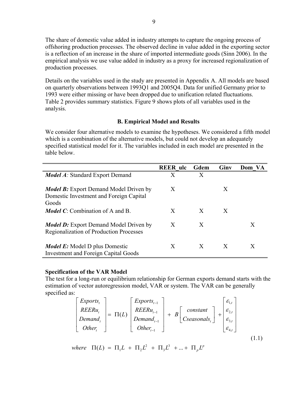The share of domestic value added in industry attempts to capture the ongoing process of offshoring production processes. The observed decline in value added in the exporting sector is a reflection of an increase in the share of imported intermediate goods (Sinn 2006). In the empirical analysis we use value added in industry as a proxy for increased regionalization of production processes.

Details on the variables used in the study are presented in Appendix A. All models are based on quarterly observations between 1993Q1 and 2005Q4. Data for unified Germany prior to 1993 were either missing or have been dropped due to unification related fluctuations. Table 2 provides summary statistics. Figure 9 shows plots of all variables used in the analysis.

## **B. Empirical Model and Results**

We consider four alternative models to examine the hypotheses. We considered a fifth model which is a combination of the alternative models, but could not develop an adequately specified statistical model for it. The variables included in each model are presented in the table below.

|                                                                                                          | <b>REER</b> ulc | Gdem | Giny | Dom VA |
|----------------------------------------------------------------------------------------------------------|-----------------|------|------|--------|
| <i>Model A:</i> Standard Export Demand                                                                   | X               | X    |      |        |
| <b><i>Model B:</i></b> Export Demand Model Driven by<br>Domestic Investment and Foreign Capital<br>Goods | X               |      | X    |        |
| <b><i>Model C</i></b> : Combination of A and B.                                                          | X               | X    | X    |        |
| <b><i>Model D:</i></b> Export Demand Model Driven by<br><b>Regionalization of Production Processes</b>   | X               | X    |      | X      |
| <i>Model E:</i> Model D plus Domestic<br><b>Investment and Foreign Capital Goods</b>                     | X               | X    | X    | X      |

## **Specification of the VAR Model**

The test for a long-run or equilibrium relationship for German exports demand starts with the estimation of vector autoregression model, VAR or system. The VAR can be generally specified as:

$$
\begin{bmatrix} Exports_t \\ REERu_t \\ Demand_t \\ Other_t \end{bmatrix} = \Pi(L) \begin{bmatrix} Exports_{t-1} \\ REERu_{t-1} \\ Demand_{t-1} \\ Other_{t-1} \end{bmatrix} + B \begin{bmatrix} constant \\ constant \\ Cseasonals_t \end{bmatrix} + \begin{bmatrix} \varepsilon_{1,t} \\ \varepsilon_{2,t} \\ \varepsilon_{3,t} \\ \varepsilon_{4,t} \end{bmatrix}
$$
(1.1)

2  $\pi$   $\pi$ <sup>3</sup>  $\delta(L) = \Pi_1 L + \Pi_2 L^2 + \Pi_3 L^3 + ... + \Pi_p L^p$  $\Pi(L) = \Pi_1 L + \Pi_2 L^2 + \Pi_3 L^3 + ... + \Pi_p L^2$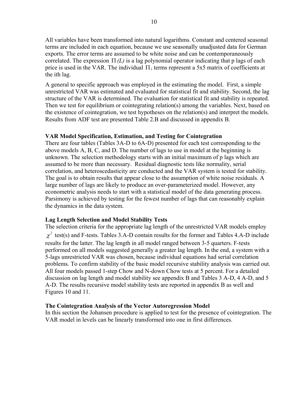All variables have been transformed into natural logarithms. Constant and centered seasonal terms are included in each equation, because we use seasonally unadjusted data for German exports. The error terms are assumed to be white noise and can be contemporaneously correlated. The expression  $\Pi(L)$  is a lag polynomial operator indicating that p lags of each price is used in the VAR. The individual  $\Pi_i$  terms represent a 5x5 matrix of coefficients at the ith lag.

A general to specific approach was employed in the estimating the model. First, a simple unrestricted VAR was estimated and evaluated for statistical fit and stability. Second, the lag structure of the VAR is determined. The evaluation for statistical fit and stability is repeated. Then we test for equilibrium or cointegrating relation(s) among the variables. Next, based on the existence of cointegration, we test hypotheses on the relation(s) and interpret the models. Results from ADF test are presented Table 2.B and discussed in appendix B.

#### **VAR Model Specification, Estimation, and Testing for Cointegration**

There are four tables (Tables 3A-D to 6A-D) presented for each test corresponding to the above models A, B, C, and D. The number of lags to use in model at the beginning is unknown. The selection methodology starts with an initial maximum of p lags which are assumed to be more than necessary. Residual diagnostic tests like normality, serial correlation, and heteroscedasticity are conducted and the VAR system is tested for stability. The goal is to obtain results that appear close to the assumption of white noise residuals. A large number of lags are likely to produce an over-parameterized model. However, any econometric analysis needs to start with a statistical model of the data generating process. Parsimony is achieved by testing for the fewest number of lags that can reasonably explain the dynamics in the data system.

## **Lag Length Selection and Model Stability Tests**

The selection criteria for the appropriate lag length of the unrestricted VAR models employ  $\chi^2$  test(s) and F-tests. Tables 3.A-D contain results for the former and Tables 4.A-D include results for the latter. The lag length in all model ranged between 3-5 quarters. F-tests performed on all models suggested generally a greater lag length. In the end, a system with a 5-lags unrestricted VAR was chosen, because individual equations had serial correlation problems. To confirm stability of the basic model recursive stability analysis was carried out. All four models passed 1-step Chow and N-down Chow tests at 5 percent. For a detailed discussion on lag length and model stability see appendix B and Tables 3 A-D, 4 A-D, and 5 A-D. The results recursive model stability tests are reported in appendix B as well and Figures 10 and 11.

#### **The Cointegration Analysis of the Vector Autoregression Model**

In this section the Johansen procedure is applied to test for the presence of cointegration. The VAR model in levels can be linearly transformed into one in first differences.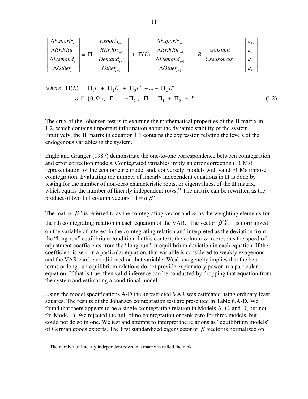$$
\begin{bmatrix}\n\Delta Exports_t \\
\Delta REERu_t \\
\Delta Demand_t \\
\Delta Other_t\n\end{bmatrix} = \Pi \begin{bmatrix}\nExports_{t-1} \\
REERu_{t-1} \\
Demand_{t-1} \\
Other_{t-1}\n\end{bmatrix} + \Gamma(L) \begin{bmatrix}\n\Delta Exports_{t-1} \\
\Delta REERu_{t-1} \\
\Delta Demand_{t-1} \\
\Delta Other_{t-1}\n\end{bmatrix} + B \begin{bmatrix}\nconstant \\
csesons, \end{bmatrix} + \begin{bmatrix}\n\varepsilon_{1,t} \\
\varepsilon_{2,t} \\
\varepsilon_{3,t} \\
\varepsilon_{4,t}\n\end{bmatrix}
$$

where 
$$
\Pi(L) = \Pi_1 L + \Pi_2 L^2 + \Pi_3 L^3 + ... + \Pi_p L^p
$$
  
\n $\varepsilon \Box (0, \Omega), \Gamma_1 = -\Pi_2, \Pi = \Pi_1 + \Pi_2 - I$  (1.2)

The crux of the Johansen test is to examine the mathematical properties of the **Π** matrix in 1.2, which contains important information about the dynamic stability of the system. Intuitively, the **Π** matrix in equation 1.1 contains the expression relating the levels of the endogenous variables in the system.

Engle and Granger (1987) demonstrate the one-to-one correspondence between cointegration and error correction models. Cointegrated variables imply an error correction (ECMs) representation for the econometric model and, conversely, models with valid ECMs impose cointegration. Evaluating the number of linearly independent equations in  $\Pi$  is done by testing for the number of non-zero characteristic roots, or eigenvalues, of the **Π** matrix, which equals the number of linearly independent rows.<sup>11</sup> The matrix can be rewritten as the product of two full column vectors,  $\Pi = \alpha \beta'$ .

The matrix  $\beta$  ' is referred to as the cointegrating vector and  $\alpha$  as the weighting elements for the rth cointegrating relation in each equation of the VAR. The vector  $\beta' Y_{t-1}$  is normalized on the variable of interest in the cointegrating relation and interpreted as the deviation from the "long-run" equilibrium condition. In this context, the column  $\alpha$  represents the speed of adjustment coefficients from the "long-run" or equilibrium deviation in each equation. If the coefficient is zero in a particular equation, that variable is considered to weakly exogenous and the VAR can be conditioned on that variable. Weak exogeneity implies that the beta terms or long-run equilibrium relations do not provide explanatory power in a particular equation. If that is true, then valid inference can be conducted by dropping that equation from the system and estimating a conditional model.

Using the model specifications A-D the unrestricted VAR was estimated using ordinary least squares. The results of the Johansen cointegration test are presented in Table 6.A-D. We found that there appears to be a single cointegrating relation in Models A, C, and D, but not for Model B. We rejected the null of no cointegration or rank zero for three models, but could not do so in one. We test and attempt to interpret the relations as "equilibrium models" of German goods exports. The first standardized eigenvector or  $\beta$  vector is normalized on

1

 $11$  The number of linearly independent rows in a matrix is called the rank.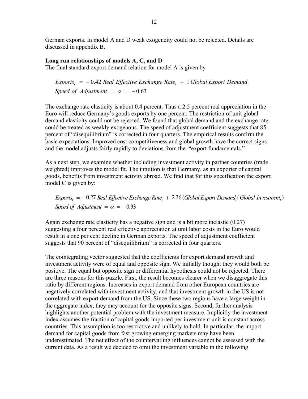German exports. In model A and D weak exogeneity could not be rejected. Details are discussed in appendix B.

## **Long run relationships of models A, C, and D**

The final standard export demand relation for model A is given by

 $Express_{t} = -0.42$  Real Effective Exchange Rate<sub>t</sub> + 1 Global Export Demand<sub>i</sub> *Speed of Adjustment* =  $\alpha$  =  $-0.63$ 

The exchange rate elasticity is about 0.4 percent. Thus a 2.5 percent real appreciation in the Euro will reduce Germany's goods exports by one percent. The restriction of unit global demand elasticity could not be rejected. We found that global demand and the exchange rate could be treated as weakly exogenous. The speed of adjustment coefficient suggests that 85 percent of "disequilibrium" is corrected in four quarters. The empirical results confirm the basic expectations. Improved cost competitiveness and global growth have the correct signs and the model adjusts fairly rapidly to deviations from the "export fundamentals."

As a next step, we examine whether including investment activity in partner countries (trade weighted) improves the model fit. The intuition is that Germany, as an exporter of capital goods, benefits from investment activity abroad. We find that for this specification the export model C is given by:

 $Exports_t = -0.27$  Real Effective Exchange Rate<sub>t</sub> + 2.36 (Global Export Demand<sub>t</sub>/ Global Investment<sub>t</sub>) *Speed of Adjustment* =  $\alpha$  = -0.33

Again exchange rate elasticity has a negative sign and is a bit more inelastic (0.27) suggesting a four percent real effective appreciation at unit labor costs in the Euro would result in a one per cent decline in German exports. The speed of adjustment coefficient suggests that 90 percent of "disequilibrium" is corrected in four quarters.

The cointegrating vector suggested that the coefficients for export demand growth and investment activity were of equal and opposite sign. We initially thought they would both be positive. The equal but opposite sign or differential hypothesis could not be rejected. There are three reasons for this puzzle. First, the result becomes clearer when we disaggregate this ratio by different regions. Increases in export demand from other European countries are negatively correlated with investment activity, and that investment growth in the US is not correlated with export demand from the US. Since these two regions have a large weight in the aggregate index, they may account for the opposite signs. Second, further analysis highlights another potential problem with the investment measure. Implicitly the investment index assumes the fraction of capital goods imported per investment unit is constant across countries. This assumption is too restrictive and unlikely to hold. In particular, the import demand for capital goods from fast growing emerging markets may have been underestimated. The net effect of the countervailing influences cannot be assessed with the current data. As a result we decided to omit the investment variable in the following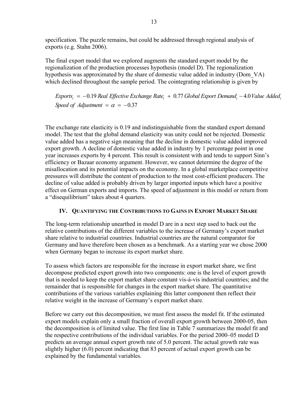specification. The puzzle remains, but could be addressed through regional analysis of exports (e.g. Stahn 2006).

The final export model that we explored augments the standard export model by the regionalization of the production processes hypothesis (model D). The regionalization hypothesis was approximated by the share of domestic value added in industry (Dom\_VA) which declined throughout the sample period. The cointegrating relationship is given by

*Exports<sub>t</sub>* = −0.19 Real Effective Exchange Rate<sub>t</sub> + 0.77 Global Export Demand<sub>t</sub> −4.0 Value Added<sub>t</sub> *Speed of Adjustment* =  $\alpha$  = -0.37

 The exchange rate elasticity is 0.19 and indistinguishable from the standard export demand model. The test that the global demand elasticity was unity could not be rejected. Domestic value added has a negative sign meaning that the decline in domestic value added improved export growth. A decline of domestic value added in industry by 1 percentage point in one year increases exports by 4 percent. This result is consistent with and tends to support Sinn's efficiency or Bazaar economy argument. However, we cannot determine the degree of the misallocation and its potential impacts on the economy. In a global marketplace competitive pressures will distribute the content of production to the most cost-efficient producers. The decline of value added is probably driven by larger imported inputs which have a positive effect on German exports and imports. The speed of adjustment in this model or return from a "disequilibrium" takes about 4 quarters.

## **IV. QUANTIFYING THE CONTRIBUTIONS TO GAINS IN EXPORT MARKET SHARE**

The long-term relationship unearthed in model D are in a next step used to back out the relative contributions of the different variables to the increase of Germany's export market share relative to industrial countries. Industrial countries are the natural comparator for Germany and have therefore been chosen as a benchmark. As a starting year we chose 2000 when Germany began to increase its export market share.

To assess which factors are responsible for the increase in export market share, we first decompose predicted export growth into two components: one is the level of export growth that is needed to keep the export market share constant vis-à-vis industrial countries; and the remainder that is responsible for changes in the export market share. The quantitative contributions of the various variables explaining this latter component then reflect their relative weight in the increase of Germany's export market share.

Before we carry out this decomposition, we must first assess the model fit. If the estimated export models explain only a small fraction of overall export growth between 2000-05, then the decomposition is of limited value. The first line in Table 7 summarizes the model fit and the respective contributions of the individual variables. For the period 2000–05 model D predicts an average annual export growth rate of 5.0 percent. The actual growth rate was slightly higher (6.0) percent indicating that 83 percent of actual export growth can be explained by the fundamental variables.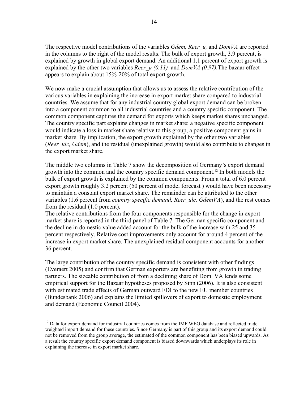The respective model contributions of the variables *Gdem, Reer\_u,* and *DomVA* are reported in the columns to the right of the model results. The bulk of export growth, 3.9 percent, is explained by growth in global export demand. An additional 1.1 percent of export growth is explained by the other two variables *Reer*  $u$  (0.11) and *DomVA* (0.97). The bazaar effect appears to explain about 15%-20% of total export growth.

We now make a crucial assumption that allows us to assess the relative contribution of the various variables in explaining the increase in export market share compared to industrial countries. We assume that for any industrial country global export demand can be broken into a component common to all industrial countries and a country specific component. The common component captures the demand for exports which keeps market shares unchanged. The country specific part explains changes in market share: a negative specific component would indicate a loss in market share relative to this group, a positive component gains in market share. By implication, the export growth explained by the other two variables (*Reer ulc, Gdem*), and the residual (unexplained growth) would also contribute to changes in the export market share.

The middle two columns in Table 7 show the decomposition of Germany's export demand growth into the common and the country specific demand component.<sup>12</sup> In both models the bulk of export growth is explained by the common components. From a total of 6.0 percent export growth roughly 3.2 percent (50 percent of model forecast ) would have been necessary to maintain a constant export market share. The remainder can be attributed to the other variables (1.6 percent from *country specific demand, Reer\_ulc, GdemVA*), and the rest comes from the residual (1.0 percent).

The relative contributions from the four components responsible for the change in export market share is reported in the third panel of Table 7. The German specific component and the decline in domestic value added account for the bulk of the increase with 25 and 35 percent respectively. Relative cost improvements only account for around 4 percent of the increase in export market share. The unexplained residual component accounts for another 36 percent.

The large contribution of the country specific demand is consistent with other findings (Everaert 2005) and confirm that German exporters are benefiting from growth in trading partners. The sizeable contribution of from a declining share of Dom\_VA lends some empirical support for the Bazaar hypotheses proposed by Sinn (2006). It is also consistent with estimated trade effects of German outward FDI to the new EU member countries (Bundesbank 2006) and explains the limited spillovers of export to domestic employment and demand (Economic Council 2004).

 $\overline{a}$ 

<sup>&</sup>lt;sup>12</sup> Data for export demand for industrial countries comes from the IMF WEO database and reflected trade weighted import demand for these countries. Since Germany is part of this group and its export demand could not be removed from the group average, the estimated of the common component has been biased upwards. As a result the country specific export demand component is biased downwards which underplays its role in explaining the increase in export market share.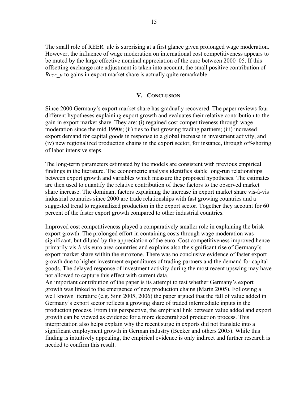The small role of REER ulc is surprising at a first glance given prolonged wage moderation. However, the influence of wage moderation on international cost competitiveness appears to be muted by the large effective nominal appreciation of the euro between 2000–05. If this offsetting exchange rate adjustment is taken into account, the small positive contribution of *Reer u* to gains in export market share is actually quite remarkable.

## **V. CONCLUSION**

Since 2000 Germany's export market share has gradually recovered. The paper reviews four different hypotheses explaining export growth and evaluates their relative contribution to the gain in export market share. They are: (i) regained cost competitiveness through wage moderation since the mid 1990s; (ii) ties to fast growing trading partners; (iii) increased export demand for capital goods in response to a global increase in investment activity, and (iv) new regionalized production chains in the export sector, for instance, through off-shoring of labor intensive steps.

The long-term parameters estimated by the models are consistent with previous empirical findings in the literature. The econometric analysis identifies stable long-run relationships between export growth and variables which measure the proposed hypotheses. The estimates are then used to quantify the relative contribution of these factors to the observed market share increase. The dominant factors explaining the increase in export market share vis-à-vis industrial countries since 2000 are trade relationships with fast growing countries and a suggested trend to regionalized production in the export sector. Together they account for 60 percent of the faster export growth compared to other industrial countries.

Improved cost competitiveness played a comparatively smaller role in explaining the brisk export growth. The prolonged effort in containing costs through wage moderation was significant, but diluted by the appreciation of the euro. Cost competitiveness improved hence primarily vis-à-vis euro area countries and explains also the significant rise of Germany's export market share within the eurozone. There was no conclusive evidence of faster export growth due to higher investment expenditures of trading partners and the demand for capital goods. The delayed response of investment activity during the most recent upswing may have not allowed to capture this effect with current data.

An important contribution of the paper is its attempt to test whether Germany's export growth was linked to the emergence of new production chains (Marin 2005). Following a well known literature (e.g. Sinn 2005, 2006) the paper argued that the fall of value added in Germany's export sector reflects a growing share of traded intermediate inputs in the production process. From this perspective, the empirical link between value added and export growth can be viewed as evidence for a more decentralized production process. This interpretation also helps explain why the recent surge in exports did not translate into a significant employment growth in German industry (Becker and others 2005). While this finding is intuitively appealing, the empirical evidence is only indirect and further research is needed to confirm this result.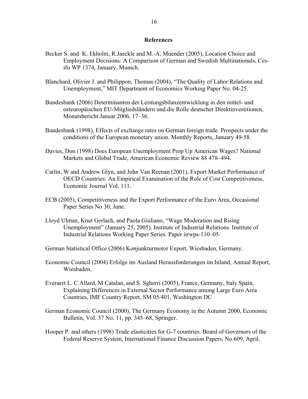#### **References**

- Becker S. and K. Ekholm, R.Jaeckle and M.-A. Muender (2005), Location Choice and Employment Decisions: A Comparison of German and Swedish Multinationals, Cesifo WP 1374, January, Munich.
- Blanchard, Olivier J. and Philippon, Thomas (2004), "The Quality of Labor Relations and Unemployment," MIT Department of Economics Working Paper No. 04-25.
- Bundesbank (2006) Determinanten der Leistungsbilanzentwicklung in den mittel- und osteuropäischen EU-Mitgliedsländern und die Rolle deutscher Direktinvestitionen, Monatsbericht Januar 2006, 17–36.
- Bundesbank (1998), Effects of exchange rates on German foreign trade. Prospects under the conditions of the European monetary union. Monthly Reports, January 49-58.
- Davies, Don (1998) Does European Unemployment Prop Up American Wages? National Markets and Global Trade, American Economic Review 88 478–494.
- Carlin, W and Andrew Glyn, and John Van Reenan (2001), Export Market Performance of OECD Countries: An Empirical Examination of the Role of Cost Competitiveness, Economic Journal Vol. 111.
- ECB (2005), Competitiveness and the Export Performance of the Euro Area, Occasional Paper Series No 30, June.
- Lloyd Ulman, Knut Gerlach, and Paola Giuliano, "Wage Moderation and Rising Unemployment" (January 25, 2005). Institute of Industrial Relations. Institute of Industrial Relations Working Paper Series. Paper iirwps-110–05.
- German Statistical Office (2006) Konjunkturmotor Export, Wiesbaden, Germany.
- Economic Council (2004) Erfolge im Ausland Herausforderungen im Inland, Annual Report, Wiesbaden.
- Everaert L. C Allard, M Catalan, and S. Sgherri (2005), France, Germany, Italy Spain, Explaining Differences in External Sector Performance among Large Euro Area Countries, IMF Country Report, SM 05/401, Washington DC
- German Economic Council (2000), The Germany Economy in the Autumn 2000, Economic Bulletin, Vol. 37 No. 11, pp. 345–68, Springer.
- Hooper P. and others (1998) Trade elasticities for G-7 countries. Board of Governors of the Federal Reserve System, International Finance Discussion Papers, No 609, April.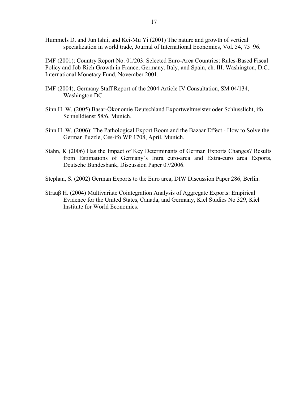Hummels D. and Jun Ishii, and Kei-Mu Yi (2001) The nature and growth of vertical specialization in world trade, Journal of International Economics, Vol. 54, 75–96.

IMF (2001): Country Report No. 01/203. Selected Euro-Area Countries: Rules-Based Fiscal Policy and Job-Rich Growth in France, Germany, Italy, and Spain, ch. III. Washington, D.C.: International Monetary Fund, November 2001.

- IMF (2004), Germany Staff Report of the 2004 Article IV Consultation, SM 04/134, Washington DC.
- Sinn H. W. (2005) Basar-Ökonomie Deutschland Exportweltmeister oder Schlusslicht, ifo Schnelldienst 58/6, Munich.
- Sinn H. W. (2006): The Pathological Export Boom and the Bazaar Effect How to Solve the German Puzzle, Ces-ifo WP 1708, April, Munich.
- Stahn, K (2006) Has the Impact of Key Determinants of German Exports Changes? Results from Estimations of Germany's Intra euro-area and Extra-euro area Exports, Deutsche Bundesbank, Discussion Paper 07/2006.
- Stephan, S. (2002) German Exports to the Euro area, DIW Discussion Paper 286, Berlin.
- Strauβ H. (2004) Multivariate Cointegration Analysis of Aggregate Exports: Empirical Evidence for the United States, Canada, and Germany, Kiel Studies No 329, Kiel Institute for World Economics.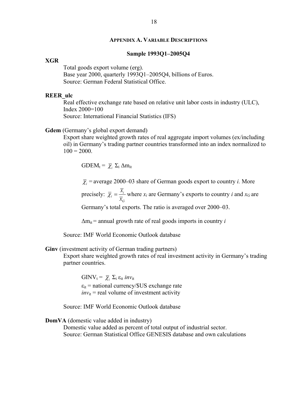#### **APPENDIX A. VARIABLE DESCRIPTIONS**

#### **Sample 1993Q1–2005Q4**

#### **XGR**

Total goods export volume (erg).

Base year 2000, quarterly 1993Q1–2005Q4, billions of Euros. Source: German Federal Statistical Office.

#### **REER\_ulc**

Real effective exchange rate based on relative unit labor costs in industry (ULC), Index 2000=100 Source: International Financial Statistics (IFS)

#### **Gdem** (Germany's global export demand)

Export share weighted growth rates of real aggregate import volumes (ex/including oil) in Germany's trading partner countries transformed into an index normalized to  $100 = 2000$ .

GDEM<sub>t</sub> =  $\overline{\chi}$ ,  $\Sigma$ <sub>i</sub>  $\Delta$ m<sub>it</sub>

 $\bar{\chi}$  = average 2000–03 share of German goods export to country *i*. More

precisely:  $\overline{\chi}_i = \frac{x_i}{\overline{x}}$ *G x x*  $\overline{\chi}_i = \frac{x_i}{n}$  where  $x_i$  are Germany's exports to country *i* and  $x_G$  are

Germany's total exports. The ratio is averaged over 2000–03.

 $\Delta m_{it}$  = annual growth rate of real goods imports in country *i* 

Source: IMF World Economic Outlook database

**Ginv** (investment activity of German trading partners)

Export share weighted growth rates of real investment activity in Germany's trading partner countries.

GINV<sub>t</sub> =  $\overline{\chi}$ ,  $\Sigma$ <sub>i</sub>  $\varepsilon$ <sub>it</sub> *inv*<sub>it</sub>  $\varepsilon_{it}$  = national currency/\$US exchange rate  $inv_{it}$  = real volume of investment activity

Source: IMF World Economic Outlook database

#### **DomVA** (domestic value added in industry)

 Domestic value added as percent of total output of industrial sector. Source: German Statistical Office GENESIS database and own calculations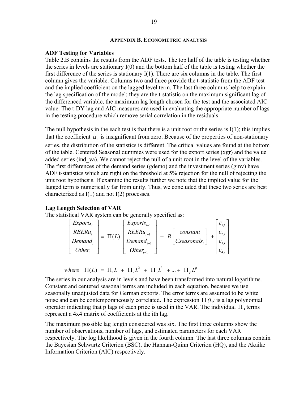#### **APPENDIX B. ECONOMETRIC ANALYSIS**

#### **ADF Testing for Variables**

Table 2.B contains the results from the ADF tests. The top half of the table is testing whether the series in levels are stationary I(0) and the bottom half of the table is testing whether the first difference of the series is stationary I(1). There are six columns in the table. The first column gives the variable. Columns two and three provide the t-statistic from the ADF test and the implied coefficient on the lagged level term. The last three columns help to explain the lag specification of the model; they are the t-statistic on the maximum significant lag of the differenced variable, the maximum lag length chosen for the test and the associated AIC value. The t-DY lag and AIC measures are used in evaluating the appropriate number of lags in the testing procedure which remove serial correlation in the residuals.

The null hypothesis in the each test is that there is a unit root or the series is  $I(1)$ ; this implies that the coefficient  $\alpha_1$  is insignificant from zero. Because of the properties of non-stationary series, the distribution of the statistics is different. The critical values are found at the bottom of the table. Centered Seasonal dummies were used for the export series (xgr) and the value added series (ind va). We cannot reject the null of a unit root in the level of the variables. The first differences of the demand series (gdemo) and the investment series (ginv) have ADF t-statistics which are right on the threshold at 5% rejection for the null of rejecting the unit root hypothesis. If examine the results further we note that the implied value for the lagged term is numerically far from unity. Thus, we concluded that these two series are best characterized as I(1) and not I(2) processes.

#### **Lag Length Selection of VAR**

The statistical VAR system can be generally specified as:

$$
\begin{bmatrix} Exports_t \\ REERu_t \\ Demand_t \\ Other_t \end{bmatrix} = \Pi(L) \begin{bmatrix} Exports_{t-1} \\ REERu_{t-1} \\ Demand_{t-1} \\ Other_{t-1} \end{bmatrix} + B \begin{bmatrix} constant \\ constant \\ Cseasonals_t \end{bmatrix} + \begin{bmatrix} \varepsilon_{1,t} \\ \varepsilon_{2,t} \\ \varepsilon_{3,t} \\ \varepsilon_{4,t} \end{bmatrix}
$$

2  $\overline{1}$   $\overline{1}$   $\overline{1}$   $\overline{1}$   $\overline{1}$  $(L) = \Pi_1 L + \Pi_2 L^2 + \Pi_3 L^3 + ... + \Pi_p L^p$  $\Pi(L) = \Pi_1 L + \Pi_2 L^2 + \Pi_3 L^3 + ... + \Pi_p L$ 

The series in our analysis are in levels and have been transformed into natural logarithms. Constant and centered seasonal terms are included in each equation, because we use seasonally unadjusted data for German exports. The error terms are assumed to be white noise and can be contemporaneously correlated. The expression Π *(L)* is a lag polynomial operator indicating that p lags of each price is used in the VAR. The individual  $\Pi_i$  terms represent a 4x4 matrix of coefficients at the ith lag.

The maximum possible lag length considered was six. The first three columns show the number of observations, number of lags, and estimated parameters for each VAR respectively. The log likelihood is given in the fourth column. The last three columns contain the Bayesian Schwartz Criterion (BSC), the Hannan-Quinn Criterion (HQ), and the Akaike Information Criterion (AIC) respectively.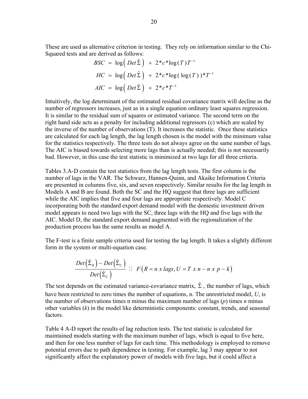These are used as alternative criterion in testing. They rely on information similar to the Chi-Squared tests and are derived as follows:

$$
BSC = \log(Det \hat{\Sigma}) + 2 \cdot c \cdot \log(T) T^{-1}
$$
  
\n
$$
HC = \log(Det \hat{\Sigma}) + 2 \cdot c \cdot \log(\log(T)) \cdot T^{-1}
$$
  
\n
$$
AIC = \log(Det \hat{\Sigma}) + 2 \cdot c \cdot T^{-1}
$$

Intuitively, the log determinant of the estimated residual covariance matrix will decline as the number of regressors increases, just as in a single equation ordinary least squares regression. It is similar to the residual sum of squares or estimated variance. The second term on the right hand side acts as a penalty for including additional regressors (c) which are scaled by the inverse of the number of observations (T). It increases the statistic. Once these statistics are calculated for each lag length, the lag length chosen is the model with the minimum value for the statistics respectively. The three tests do not always agree on the same number of lags. The AIC is biased towards selecting more lags than is actually needed; this is not necessarily bad. However, in this case the test statistic is minimized at two lags for all three criteria.

Tables 3.A-D contain the test statistics from the lag length tests. The first column is the number of lags in the VAR. The Schwarz, Hannen-Quinn, and Akaike Information Criteria are presented in columns five, six, and seven respectively. Similar results for the lag length in Models A and B are found. Both the SC and the HQ suggest that three lags are sufficient while the AIC implies that five and four lags are appropriate respectively. Model C incorporating both the standard export demand model with the domestic investment driven model appears to need two lags with the SC, three lags with the HQ and five lags with the AIC. Model D, the standard export demand augmented with the regionalization of the production process has the same results as model A.

The F-test is a finite sample criteria used for testing the lag length. It takes a slightly different form in the system or multi-equation case.

$$
\frac{Det(\hat{\Sigma}_R)-Det(\hat{\Sigma}_U)}{Det(\hat{\Sigma}_U)} \quad \Box \quad F(R=n \times lags, U = T \times n - n \times p - k)
$$

The test depends on the estimated variance-covariance matrix,  $\hat{\Sigma}$ , the number of lags, which have been restricted to zero times the number of equations, n. The unrestricted model, *U*, is the number of observations times n minus the maximum number of lags (*p*) times *n* minus other variables (*k*) in the model like deterministic components: constant, trends, and seasonal factors.

Table 4 A-D report the results of lag reduction tests. The test statistic is calculated for maintained models starting with the maximum number of lags, which is equal to five here, and then for one less number of lags for each time. This methodology is employed to remove potential errors due to path dependence in testing. For example, lag 3 may appear to not significantly affect the explanatory power of models with five lags, but it could affect a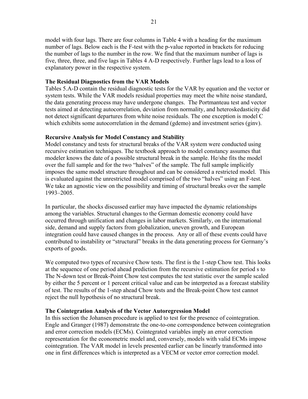model with four lags. There are four columns in Table 4 with a heading for the maximum number of lags. Below each is the F-test with the p-value reported in brackets for reducing the number of lags to the number in the row. We find that the maximum number of lags is five, three, three, and five lags in Tables 4 A-D respectively. Further lags lead to a loss of explanatory power in the respective system.

## **The Residual Diagnostics from the VAR Models**

Tables 5.A-D contain the residual diagnostic tests for the VAR by equation and the vector or system tests. While the VAR models residual properties may meet the white noise standard, the data generating process may have undergone changes. The Portmanteau test and vector tests aimed at detecting autocorrelation, deviation from normality, and heteroskedasticity did not detect significant departures from white noise residuals. The one exception is model C which exhibits some autocorrelation in the demand (gdemo) and investment series (ginv).

## **Recursive Analysis for Model Constancy and Stability**

Model constancy and tests for structural breaks of the VAR system were conducted using recursive estimation techniques. The textbook approach to model constancy assumes that modeler knows the date of a possible structural break in the sample. He/she fits the model over the full sample and for the two "halves" of the sample. The full sample implicitly imposes the same model structure throughout and can be considered a restricted model. This is evaluated against the unrestricted model comprised of the two "halves" using an F-test. We take an agnostic view on the possibility and timing of structural breaks over the sample 1993–2005.

In particular, the shocks discussed earlier may have impacted the dynamic relationships among the variables. Structural changes to the German domestic economy could have occurred through unification and changes in labor markets. Similarly, on the international side, demand and supply factors from globalization, uneven growth, and European integration could have caused changes in the process. Any or all of these events could have contributed to instability or "structural" breaks in the data generating process for Germany's exports of goods.

We computed two types of recursive Chow tests. The first is the 1-step Chow test. This looks at the sequence of one period ahead prediction from the recursive estimation for period s to The N-down test or Break-Point Chow test computes the test statistic over the sample scaled by either the 5 percent or 1 percent critical value and can be interpreted as a forecast stability of test. The results of the 1-step ahead Chow tests and the Break-point Chow test cannot reject the null hypothesis of no structural break.

## **The Cointegration Analysis of the Vector Autoregression Model**

In this section the Johansen procedure is applied to test for the presence of cointegration. Engle and Granger (1987) demonstrate the one-to-one correspondence between cointegration and error correction models (ECMs). Cointegrated variables imply an error correction representation for the econometric model and, conversely, models with valid ECMs impose cointegration. The VAR model in levels presented earlier can be linearly transformed into one in first differences which is interpreted as a VECM or vector error correction model.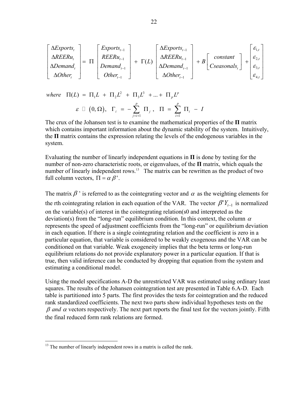$$
\begin{bmatrix}\n\Delta Exports_t \\
\Delta REERu_t \\
\Delta Demand_t \\
\Delta Other_t\n\end{bmatrix} = \Pi \begin{bmatrix}\nExports_{t-1} \\
REERu_{t-1} \\
Demand_{t-1} \\
Other_{t-1}\n\end{bmatrix} + \Gamma(L) \begin{bmatrix}\n\Delta Exports_{t-1} \\
\Delta REERu_{t-1} \\
\Delta Demand_{t-1} \\
\Delta Other_{t-1}\n\end{bmatrix} + B \begin{bmatrix}\nconstant \\
Cseasonals_t\n\end{bmatrix} + \begin{bmatrix}\n\varepsilon_{1,t} \\
\varepsilon_{2,t} \\
\varepsilon_{3,t} \\
\varepsilon_{4,t}\n\end{bmatrix}
$$

 $( 0, \Omega )$ 2  $\overline{1}$   $\overline{1}$   $I^3$  $\sigma(L) = \Pi_1 L + \Pi_2 L^2 + \Pi_3 L^3 + ... + \Pi_p L^p$  $(0, \Omega)$ ,  $\Gamma_i = -\sum_i \Pi_i$ ,  $\Pi(L) = \Pi_1 L + \Pi_2 L^2 + \Pi_3 L^3 + ... + \Pi_p L$ *p p*  $i = \sum_{i} \mathbf{1} \mathbf{1}_{j}, \ \ \mathbf{1} \mathbf{1} = \sum_{i} \mathbf{1} \mathbf{1}_{i}$  $\varepsilon \,\, \sqcup \,\, (0, \Omega), \,\,\, \Gamma_{\!\scriptscriptstyle\! L} \,\, = \,\, -\, \sum \,\, \Pi_{\!\scriptscriptstyle\! L} \,, \,\,\, \Pi \,\, = \,\, \sum \,\, \Pi_{\!\scriptscriptstyle\! L} \,\, - \,\, I$  $\Box \hspace{0.2cm} \big( 0 , \Omega \big), \hspace{0.2cm} \Gamma_{_{i}} \hspace{0.1cm} = \hspace{0.1cm} - \sum_{_{j=i+1}}^{\mathbf{r}} \hspace{0.1cm} \Pi_{_{j}} \hspace{0.1cm}, \hspace{0.2cm} \Pi \hspace{0.1cm} = \hspace{0.1cm} \sum_{_{i=1}}^{\mathbf{r}} \hspace{0.1cm} \Pi_{_{i}} \hspace{0.1cm} - \hspace{0.1cm}$ 

The crux of the Johansen test is to examine the mathematical properties of the **Π** matrix which contains important information about the dynamic stability of the system. Intuitively, the **Π** matrix contains the expression relating the levels of the endogenous variables in the system.

 $i=1$ 

 $j = i + 1$  i

Evaluating the number of linearly independent equations in **Π** is done by testing for the number of non-zero characteristic roots, or eigenvalues, of the **Π** matrix, which equals the number of linearly independent rows.<sup>13</sup> The matrix can be rewritten as the product of two full column vectors,  $\Pi = \alpha \beta'$ .

The matrix  $\beta$  ' is referred to as the cointegrating vector and  $\alpha$  as the weighting elements for the rth cointegrating relation in each equation of the VAR. The vector  $\beta' Y_{t-1}$  is normalized on the variable(s) of interest in the cointegrating relation(s0 and interpreted as the deviation(s) from the "long-run" equilibrium condition. In this context, the column  $\alpha$ represents the speed of adjustment coefficients from the "long-run" or equilibrium deviation in each equation. If there is a single cointegrating relation and the coefficient is zero in a particular equation, that variable is considered to be weakly exogenous and the VAR can be conditioned on that variable. Weak exogeneity implies that the beta terms or long-run equilibrium relations do not provide explanatory power in a particular equation. If that is true, then valid inference can be conducted by dropping that equation from the system and estimating a conditional model.

Using the model specifications A-D the unrestricted VAR was estimated using ordinary least squares. The results of the Johansen cointegration test are presented in Table 6.A-D. Each table is partitioned into 5 parts. The first provides the tests for cointegration and the reduced rank standardized coefficients. The next two parts show individual hypotheses tests on the β *and* <sup>α</sup> vectors respectively. The next part reports the final test for the vectors jointly. Fifth the final reduced form rank relations are formed.

 $\overline{a}$ 

 $13$  The number of linearly independent rows in a matrix is called the rank.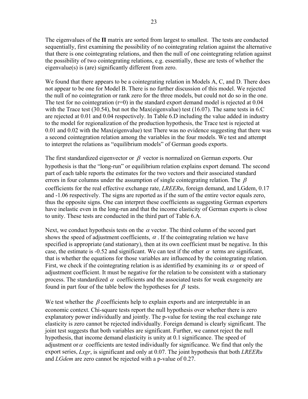The eigenvalues of the **Π** matrix are sorted from largest to smallest. The tests are conducted sequentially, first examining the possibility of no cointegrating relation against the alternative that there is one cointegrating relations, and then the null of one cointegrating relation against the possibility of two cointegrating relations, e.g. essentially, these are tests of whether the eigenvalue(s) is (are) significantly different from zero.

We found that there appears to be a cointegrating relation in Models A, C, and D. There does not appear to be one for Model B. There is no further discussion of this model. We rejected the null of no cointegration or rank zero for the three models, but could not do so in the one. The test for no cointegration  $(r=0)$  in the standard export demand model is rejected at 0.04 with the Trace test (30.54), but not the Max(eigenvalue) test (16.07). The same tests in 6.C are rejected at 0.01 and 0.04 respectively. In Table 6.D including the value added in industry to the model for regionalization of the production hypothesis, the Trace test is rejected at 0.01 and 0.02 with the Max(eigenvalue) test There was no evidence suggesting that there was a second cointegration relation among the variables in the four models. We test and attempt to interpret the relations as "equilibrium models" of German goods exports.

The first standardized eigenvector or  $\beta$  vector is normalized on German exports. Our hypothesis is that the "long-run" or equilibrium relation explains export demand. The second part of each table reports the estimates for the two vectors and their associated standard errors in four columns under the assumption of single cointegrating relation. The  $\beta$ coefficients for the real effective exchange rate, *LREERu*, foreign demand, and LGdem, 0.17 and -1.06 respectively. The signs are reported as if the sum of the entire vector equals zero, thus the opposite signs. One can interpret these coefficients as suggesting German exporters have inelastic even in the long-run and that the income elasticity of German exports is close to unity. These tests are conducted in the third part of Table 6.A.

Next, we conduct hypothesis tests on the  $\alpha$  vector. The third column of the second part shows the speed of adjustment coefficients,  $\alpha$ . If the cointegrating relation we have specified is appropriate (and stationary), then at its own coefficient must be negative. In this case, the estimate is -0.52 and significant. We can test if the other  $\alpha$  terms are significant, that is whether the equations for those variables are influenced by the cointegrating relation. First, we check if the cointegrating relation is as identified by examining its  $\alpha$  or speed of adjustment coefficient. It must be negative for the relation to be consistent with a stationary process. The standardized  $\alpha$  coefficients and the associated tests for weak exogeneity are found in part four of the table below the hypotheses for  $\beta$  tests.

We test whether the  $\beta$  coefficients help to explain exports and are interpretable in an economic context. Chi-square tests report the null hypothesis over whether there is zero explanatory power individually and jointly. The p-value for testing the real exchange rate elasticity is zero cannot be rejected individually. Foreign demand is clearly significant. The joint test suggests that both variables are significant. Further, we cannot reject the null hypothesis, that income demand elasticity is unity at 0.1 significance. The speed of adjustment or  $\alpha$  coefficients are tested individually for significance. We find that only the export series, *Lxgr*, is significant and only at 0.07. The joint hypothesis that both *LREERu* and *LGdem* are zero cannot be rejected with a p-value of 0.27.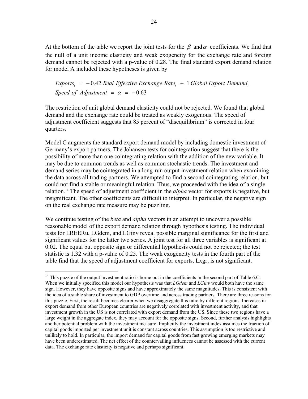At the bottom of the table we report the joint tests for the  $\beta$  and  $\alpha$  coefficients. We find that the null of a unit income elasticity and weak exogeneity for the exchange rate and foreign demand cannot be rejected with a p-value of 0.28. The final standard export demand relation for model A included these hypotheses is given by

 $Express_{t} = -0.42$  Real Effective Exchange Rate<sub>t</sub> + 1 Global Export Demand<sub>t</sub> *Speed of Adjustment* =  $\alpha$  =  $-0.63$ 

The restriction of unit global demand elasticity could not be rejected. We found that global demand and the exchange rate could be treated as weakly exogenous. The speed of adjustment coefficient suggests that 85 percent of "disequilibrium" is corrected in four quarters.

Model C augments the standard export demand model by including domestic investment of Germany's export partners. The Johansen tests for cointegration suggest that there is the possibility of more than one cointegrating relation with the addition of the new variable. It may be due to common trends as well as common stochastic trends. The investment and demand series may be cointegrated in a long-run output investment relation when examining the data across all trading partners. We attempted to find a second cointegrating relation, but could not find a stable or meaningful relation. Thus, we proceeded with the idea of a single relation.14 The speed of adjustment coefficient in the *alpha* vector for exports is negative, but insignificant. The other coefficients are difficult to interpret. In particular, the negative sign on the real exchange rate measure may be puzzling.

We continue testing of the *beta* and *alpha* vectors in an attempt to uncover a possible reasonable model of the export demand relation through hypothesis testing. The individual tests for LREERu, LGdem, and LGinv reveal possible marginal significance for the first and significant values for the latter two series. A joint test for all three variables is significant at 0.02. The equal but opposite sign or differential hypothesis could not be rejected; the test statistic is 1.32 with a p-value of 0.25. The weak exogeneity tests in the fourth part of the table find that the speed of adjustment coefficient for exports, Lxgr, is not significant.

 $\overline{a}$ 

<sup>&</sup>lt;sup>14</sup> This puzzle of the output investment ratio is borne out in the coefficients in the second part of Table 6.C. When we initially specified this model our hypothesis was that *LGdem* and *LGinv* would both have the same sign. However, they have opposite signs and have approximately the same magnitudes. This is consistent with the idea of a stable share of investment to GDP overtime and across trading partners. There are three reasons for this puzzle. First, the result becomes clearer when we disaggregate this ratio by different regions. Increases in export demand from other European countries are negatively correlated with investment activity, and that investment growth in the US is not correlated with export demand from the US. Since these two regions have a large weight in the aggregate index, they may account for the opposite signs. Second, further analysis highlights another potential problem with the investment measure. Implicitly the investment index assumes the fraction of capital goods imported per investment unit is constant across countries. This assumption is too restrictive and unlikely to hold. In particular, the import demand for capital goods from fast growing emerging markets may have been underestimated. The net effect of the countervailing influences cannot be assessed with the current data. The exchange rate elasticity is negative and perhaps significant.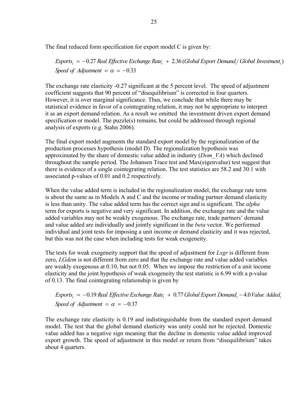The final reduced form specification for export model C is given by:

*Exports<sub>t</sub>* = −0.27 Real Effective Exchange Rate<sub>t</sub> + 2.36 (Global Export Demand<sub>t</sub>/ Global Investment<sub>t</sub>) *Speed of Adjustment* =  $\alpha$  = -0.33

The exchange rate elasticity -0.27 significant at the 5 percent level. The speed of adjustment coefficient suggests that 90 percent of "disequilibrium" is corrected in four quarters. However, it is over marginal significance. Thus, we conclude that while there may be statistical evidence in favor of a cointegrating relation, it may not be appropriate to interpret it as an export demand relation. As a result we omitted the investment driven export demand specification or model. The puzzle $(s)$  remains, but could be addressed through regional analysis of exports (e.g. Stahn 2006).

The final export model augments the standard export model by the regionalization of the production processes hypothesis (model D). The regionalization hypothesis was approximated by the share of domestic value added in industry (*Dom\_VA*) which declined throughout the sample period. The Johansen Trace test and Max(eigenvalue) test suggest that there is evidence of a single cointegrating relation. The test statistics are 58.2 and 30.1 with associated p-values of 0.01 and 0.2 respectively.

When the value added term is included in the regionalization model, the exchange rate term is about the same as in Models A and C and the income or trading partner demand elasticity is less than unity. The value added term has the correct sign and is significant. The *alpha* term for exports is negative and very significant. In addition, the exchange rate and the value added variables may not be weakly exogenous. The exchange rate, trade partners' demand and value added are individually and jointly significant in the *beta* vector. We performed individual and joint tests for imposing a unit income or demand elasticity and it was rejected, but this was not the case when including tests for weak exogeneity.

The tests for weak exogeneity support that the speed of adjustment for *Lxgr* is different from zero, *LGdem* is not different from zero and that the exchange rate and value added variables are weakly exogenous at 0.10, but not 0.05. When we impose the restriction of a unit income elasticity and the joint hypothesis of weak exogeneity the test statistic is 6.99 with a p-value of 0.13. The final cointegrating relationship is given by

*Exports<sub>t</sub>* = −0.19 Real Effective Exchange Rate<sub>t</sub> + 0.77 Global Export Demand<sub>t</sub> −4.0 Value Added<sub>t</sub> *Speed of Adjustment* =  $\alpha$  = -0.37

The exchange rate elasticity is 0.19 and indistinguishable from the standard export demand model. The test that the global demand elasticity was unity could not be rejected. Domestic value added has a negative sign meaning that the decline in domestic value added improved export growth. The speed of adjustment in this model or return from "disequilibrium" takes about 4 quarters.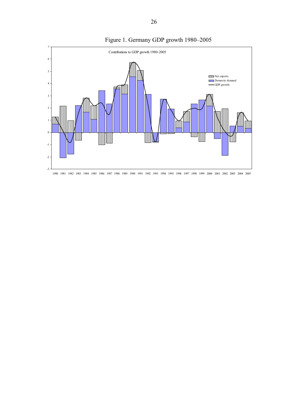

# Figure 1. Germany GDP growth 1980–2005

26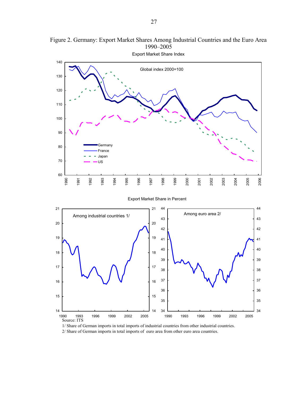

Figure 2. Germany: Export Market Shares Among Industrial Countries and the Euro Area 1990–2005

1/ Share of German imports in total imports of industrial countries from other industrial countries. 2/ Share of German imports in total imports of euro area from other euro area countries.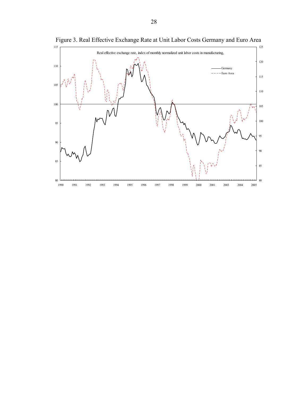

Figure 3. Real Effective Exchange Rate at Unit Labor Costs Germany and Euro Area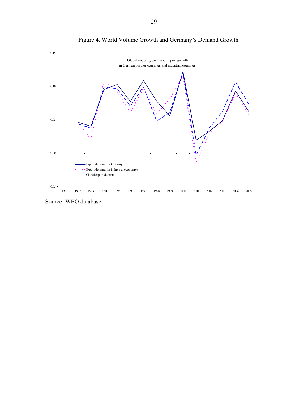

Figure 4. World Volume Growth and Germany's Demand Growth

Source: WEO database.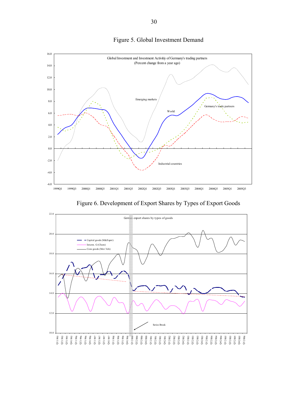

# Figure 5. Global Investment Demand

Figure 6. Development of Export Shares by Types of Export Goods

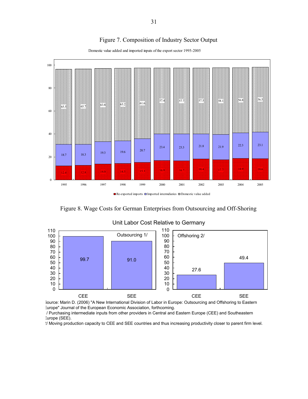## Figure 7. Composition of Industry Sector Output



Domestic value added and imported inputs of the export sector 1995-2005

Figure 8. Wage Costs for German Enterprises from Outsourcing and Off-Shoring



#### Unit Labor Cost Relative to Germany

Source: Marin D. (2006) "A New International Division of Labor in Europe: Outsourcing and Offshoring to Eastern Europe" Journal of the European Economic Association, forthcoming.

/ Purchasing intermediate inputs from other providers in Central and Eastern Europe (CEE) and Southeastern Europe (SEE).

2/ Moving production capacity to CEE and SEE countries and thus increasing productivity closer to parent firm level.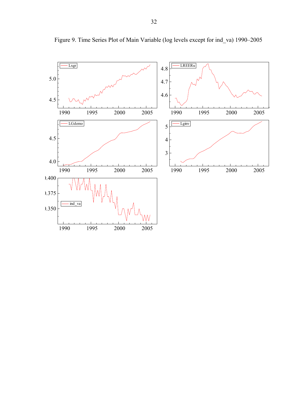

Figure 9. Time Series Plot of Main Variable (log levels except for ind\_va) 1990–2005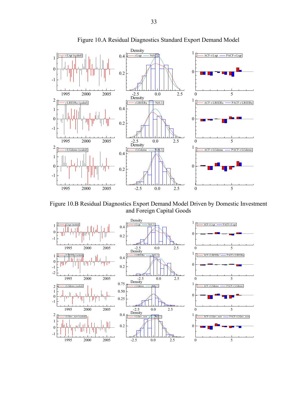

Figure 10.A Residual Diagnostics Standard Export Demand Model

Figure 10.B Residual Diagnostics Export Demand Model Driven by Domestic Investment and Foreign Capital Goods

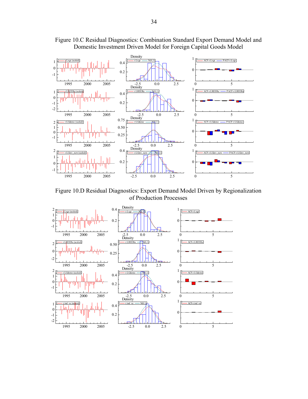

Figure 10.C Residual Diagnostics: Combination Standard Export Demand Model and Domestic Investment Driven Model for Foreign Capital Goods Model

Figure 10.D Residual Diagnostics: Export Demand Model Driven by Regionalization of Production Processes

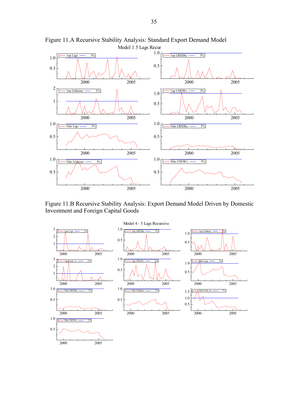

Figure 11.A Recursive Stability Analysis: Standard Export Demand Model

Figure 11.B Recursive Stability Analysis: Export Demand Model Driven by Domestic Investment and Foreign Capital Goods

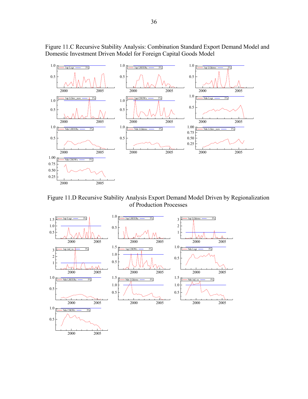

Figure 11.C Recursive Stability Analysis: Combination Standard Export Demand Model and Domestic Investment Driven Model for Foreign Capital Goods Model

Figure 11.D Recursive Stability Analysis Export Demand Model Driven by Regionalization of Production Processes

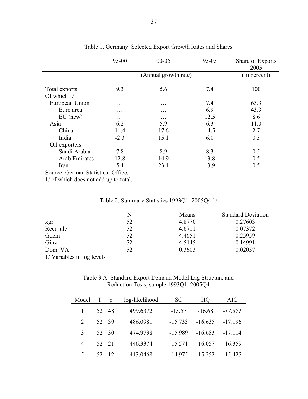|                                                | $95 - 00$           | $00 - 05$            | $95 - 05$ | Share of Exports<br>2005 |
|------------------------------------------------|---------------------|----------------------|-----------|--------------------------|
|                                                |                     | (Annual growth rate) |           | (In percent)             |
| Total exports<br>Of which $1/$                 | 9.3                 | 5.6                  | 7.4       | 100                      |
| European Union                                 | .                   | .                    | 7.4       | 63.3                     |
| Euro area                                      | .                   | .                    | 6.9       | 43.3                     |
| $EU$ (new)                                     | .                   | .                    | 12.5      | 8.6                      |
| Asia                                           | 6.2                 | 5.9                  | 6.3       | 11.0                     |
| China                                          | 11.4                | 17.6                 | 14.5      | 2.7                      |
| India                                          | $-2.3$              | 15.1                 | 6.0       | 0.5                      |
| Oil exporters                                  |                     |                      |           |                          |
| Saudi Arabia                                   | 7.8                 | 8.9                  | 8.3       | 0.5                      |
| Arab Emirates                                  | 12.8                | 14.9                 | 13.8      | 0.5                      |
| Iran<br>$\alpha$ , $\beta$<br>$\sim$<br>$\sim$ | 5.4<br>$1 \wedge c$ | 23.1                 | 13.9      | 0.5                      |

## Table 1. Germany: Selected Export Growth Rates and Shares

Source: German Statistical Office.

1/ of which does not add up to total.

| Table 2. Summary Statistics 1993Q1-2005Q4 1/ |  |
|----------------------------------------------|--|
|----------------------------------------------|--|

|          |    | Means  | <b>Standard Deviation</b> |
|----------|----|--------|---------------------------|
| xgr      | 52 | 4.8770 | 0.27603                   |
| Reer ulc | 52 | 4.6711 | 0.07372                   |
| Gdem     | 52 | 4.4651 | 0.25959                   |
| Giny     | 52 | 4.5145 | 0.14991                   |
| Dom VA   | 52 | 0.3603 | 0.02057                   |

1/ Variables in log levels

## Table 3.A: Standard Export Demand Model Lag Structure and Reduction Tests, sample 1993Q1–2005Q4

| Model                       |    |       | log-likelihood | SC        | HО        | AIC       |
|-----------------------------|----|-------|----------------|-----------|-----------|-----------|
|                             |    | 52 48 | 499.6372       | $-15.57$  | $-16.68$  | $-17.371$ |
| $\mathcal{D}_{\mathcal{L}}$ |    | 52 39 | 486.0981       | $-15.733$ | $-16635$  | $-17196$  |
| 3                           |    | 52 30 | 474.9738       | $-15.989$ | $-16.683$ | $-17.114$ |
| $\overline{4}$              |    | 52 21 | 446.3374       | $-15.571$ | $-16.057$ | $-16.359$ |
| 5                           | 52 | 12    | 413.0468       | $-14.975$ | $-15252$  | $-15.425$ |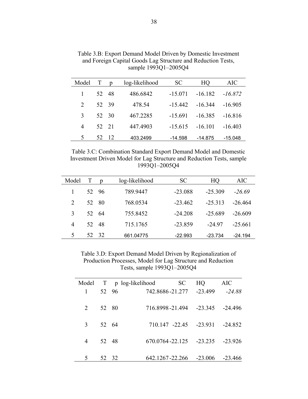| Model                       | $\mathbf T$ |       | log-likelihood | SC        | HQ        | AIC       |
|-----------------------------|-------------|-------|----------------|-----------|-----------|-----------|
|                             |             | 52 48 | 486.6842       | $-15.071$ | $-16.182$ | $-16.872$ |
| $\mathcal{D}_{\mathcal{L}}$ |             | 52 39 | 478.54         | $-15.442$ | $-16.344$ | $-16.905$ |
| $\mathcal{L}$               |             | 52 30 | 467.2285       | $-15.691$ | $-16.385$ | $-16.816$ |
| 4                           |             | 52 21 | 447.4903       | $-15.615$ | $-16.101$ | $-16.403$ |
| 5                           | 52.         | 12    | 403.2499       | $-14.598$ | -14.875   | -15.048   |

Table 3.B: Export Demand Model Driven by Domestic Investment and Foreign Capital Goods Lag Structure and Reduction Tests, sample 1993Q1–2005Q4

Table 3.C: Combination Standard Export Demand Model and Domestic Investment Driven Model for Lag Structure and Reduction Tests, sample 1993Q1–2005Q4

| Model          |     |       | log-likelihood | SC        | HQ        | AIC.      |
|----------------|-----|-------|----------------|-----------|-----------|-----------|
|                |     | 52 96 | 789.9447       | $-23.088$ | $-25.309$ | $-26.69$  |
| 2              | 52. | -80   | 768.0534       | $-23.462$ | $-25.313$ | $-26,464$ |
| 3              |     | 52.64 | 755.8452       | $-24.208$ | $-25689$  | $-26609$  |
| $\overline{4}$ |     | 52 48 | 715.1765       | $-23.859$ | -24 97    | $-25661$  |
| 5              | 52  | 32    | 661.04775      | $-22.993$ | $-23.734$ | $-24.194$ |

Table 3.D: Export Demand Model Driven by Regionalization of Production Processes, Model for Lag Structure and Reduction Tests, sample 1993Q1–2005Q4

| Model   |       | T p log-likelihood | SC             | HQ.                           | AIC       |
|---------|-------|--------------------|----------------|-------------------------------|-----------|
|         | 52 96 | 742.8686-21.277    |                | $-23.499$                     | $-24.88$  |
| 2 52 80 |       |                    |                | 716.8998-21.494 -23.345       | $-24496$  |
| 3 52 64 |       |                    | 710.147 -22.45 | $-23.931$                     | $-24.852$ |
| 4 52 48 |       |                    |                | $670.0764 - 22.125$ $-23.235$ | $-23926$  |
| 5       | 52 32 | 642.1267-22.266    |                | $-23006$                      | $-23.466$ |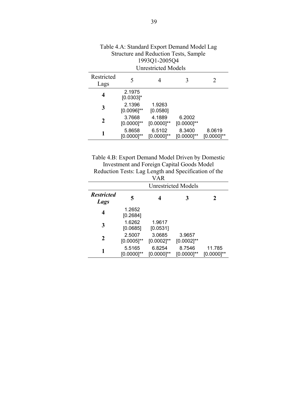|                    | <b>Unrestricted Models</b> |                           |                           |                           |  |  |  |
|--------------------|----------------------------|---------------------------|---------------------------|---------------------------|--|--|--|
| Restricted<br>Lags | 5                          |                           |                           | 2                         |  |  |  |
| 4                  | 2.1975<br>$[0.0303]$ *     |                           |                           |                           |  |  |  |
| 3                  | 2.1396<br>$[0.0096]$ **    | 1.9263<br>[0.0580]        |                           |                           |  |  |  |
| 2                  | 3.7668<br>$[0.0000]^{**}$  | 4.1889<br>$[0.0000]^{**}$ | 6.2002<br>$[0.0000]^{**}$ |                           |  |  |  |
|                    | 5.8658<br>$[0.0000]^{**}$  | 6.5102<br>$[0.0000]^{**}$ | 8.3400<br>$[0.0000]^{**}$ | 8.0619<br>$[0.0000]^{**}$ |  |  |  |
|                    |                            |                           |                           |                           |  |  |  |

| Table 4.A: Standard Export Demand Model Lag  |
|----------------------------------------------|
| <b>Structure and Reduction Tests, Sample</b> |
| 1993Q1-2005Q4                                |
| <b>TT 13 F 11</b>                            |

Table 4.B: Export Demand Model Driven by Domestic Investment and Foreign Capital Goods Model Reduction Tests: Lag Length and Specification of the

|                           |                           | VAR                       |                            |                           |
|---------------------------|---------------------------|---------------------------|----------------------------|---------------------------|
|                           |                           |                           | <b>Unrestricted Models</b> |                           |
| <b>Restricted</b><br>Lags | 5                         |                           | 3                          | 7                         |
| 4                         | 1.2652<br>[0.2684]        |                           |                            |                           |
| 3                         | 1.6262<br>[0.0685]        | 1.9617<br>[0.0531]        |                            |                           |
| 2                         | 2.5007<br>$[0.0005]^{**}$ | 3.0685<br>$[0.0002]^{**}$ | 3.9657<br>$[0.0002]^{**}$  |                           |
|                           | 5.5165<br>$[0.0000]^{**}$ | 6.8254<br>$[0.0000]^{**}$ | 8.7546<br>$[0.0000]^{**}$  | 11.785<br>$[0.0000]^{**}$ |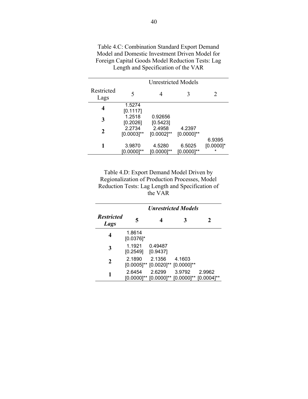|                         | <b>Unrestricted Models</b> |                           |                           |                             |  |  |  |  |
|-------------------------|----------------------------|---------------------------|---------------------------|-----------------------------|--|--|--|--|
| Restricted<br>Lags      | 5                          |                           |                           | 2                           |  |  |  |  |
| $\overline{\mathbf{4}}$ | 1.5274<br>[0.1117]         |                           |                           |                             |  |  |  |  |
| 3                       | 1.2518<br>[0.2026]         | 0.92656<br>[0.5423]       |                           |                             |  |  |  |  |
| 2                       | 2.2734<br>$[0.0003]^{**}$  | 2.4958<br>$[0.0002]^{**}$ | 4.2397<br>$[0.0000]^{**}$ |                             |  |  |  |  |
| 1                       | 3.9870<br>$[0.0000]^{**}$  | 4.5280<br>[0.0000]**      | 6.5025<br>$[0.0000]^{**}$ | 6.9395<br>$[0.0000]$ *<br>* |  |  |  |  |

Table 4.C: Combination Standard Export Demand Model and Domestic Investment Driven Model for Foreign Capital Goods Model Reduction Tests: Lag Length and Specification of the VAR

Table 4.D: Export Demand Model Driven by Regionalization of Production Processes, Model Reduction Tests: Lag Length and Specification of the VAR

|                           | <b><i>Unrestricted Models</i></b> |                                                                           |        |        |  |  |  |
|---------------------------|-----------------------------------|---------------------------------------------------------------------------|--------|--------|--|--|--|
| <b>Restricted</b><br>Lags | 5                                 |                                                                           | 3      | 2      |  |  |  |
| 4                         | 1.8614<br>$[0.0376]$ *            |                                                                           |        |        |  |  |  |
| 3                         | 1.1921<br>[0.2549]                | 0.49487<br>[0.9437]                                                       |        |        |  |  |  |
| 2                         | 2.1890                            | 2.1356<br>$[0.0005]^{**}$ $[0.0020]^{**}$ $[0.0000]^{**}$                 | 4.1603 |        |  |  |  |
| 1                         | 2.6454                            | 2.6299<br>$[0.0000]^{**}$ $[0.0000]^{**}$ $[0.0000]^{**}$ $[0.0004]^{**}$ | 3.9792 | 2.9962 |  |  |  |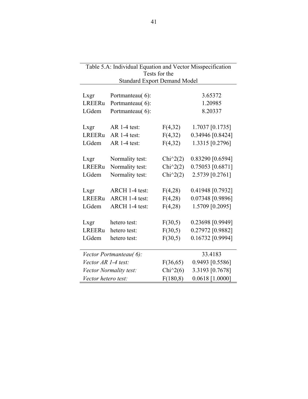| Table 5.A: Individual Equation and Vector Misspecification |                                                      |                      |                   |  |  |  |  |  |  |
|------------------------------------------------------------|------------------------------------------------------|----------------------|-------------------|--|--|--|--|--|--|
|                                                            | Tests for the<br><b>Standard Export Demand Model</b> |                      |                   |  |  |  |  |  |  |
|                                                            |                                                      |                      |                   |  |  |  |  |  |  |
| Lxgr                                                       | Portmanteau(6):                                      |                      | 3.65372           |  |  |  |  |  |  |
| <b>LREERu</b>                                              | Portmanteau(6):                                      |                      | 1.20985           |  |  |  |  |  |  |
| LGdem                                                      | Portmanteau(6):                                      |                      | 8.20337           |  |  |  |  |  |  |
| Lxgr                                                       | AR 1-4 test:                                         | F(4,32)              | 1.7037 [0.1735]   |  |  |  |  |  |  |
| LREERu                                                     | $AR$ 1-4 test:                                       | F(4,32)              | 0.34946 [0.8424]  |  |  |  |  |  |  |
| LGdem                                                      | $AR$ 1-4 test:                                       | F(4,32)              | 1.3315 [0.2796]   |  |  |  |  |  |  |
| Lxgr                                                       | Normality test:                                      | $Chi^2(2)$           | 0.83290 [0.6594]  |  |  |  |  |  |  |
| LREERu                                                     | Normality test:                                      | Chi $\binom{2}{2}$   | 0.75053 [0.6871]  |  |  |  |  |  |  |
| LGdem                                                      | Normality test:                                      | Chi $\binom{2}{2}$   | 2.5739 [0.2761]   |  |  |  |  |  |  |
| Lxgr                                                       | ARCH 1-4 test:                                       | F(4,28)              | 0.41948 [0.7932]  |  |  |  |  |  |  |
| <b>LREERu</b>                                              | ARCH 1-4 test:                                       | F(4,28)              | 0.07348 [0.9896]  |  |  |  |  |  |  |
| LGdem                                                      | ARCH 1-4 test:                                       | F(4,28)              | 1.5709 [0.2095]   |  |  |  |  |  |  |
| Lxgr                                                       | hetero test:                                         | F(30,5)              | 0.23698 [0.9949]  |  |  |  |  |  |  |
| <b>LREERu</b>                                              | hetero test:                                         | F(30,5)              | 0.27972 [0.9882]  |  |  |  |  |  |  |
| LGdem                                                      | hetero test:                                         | F(30,5)              | 0.16732 [0.9994]  |  |  |  |  |  |  |
|                                                            | Vector Portmanteau(6):                               |                      | 33.4183           |  |  |  |  |  |  |
| Vector AR 1-4 test:                                        |                                                      | F(36,65)             | 0.9493 [0.5586]   |  |  |  |  |  |  |
|                                                            | Vector Normality test:                               | Chi $\frac{1}{2}(6)$ | 3.3193 [0.7678]   |  |  |  |  |  |  |
| Vector hetero test:                                        |                                                      | F(180, 8)            | $0.0618$ [1.0000] |  |  |  |  |  |  |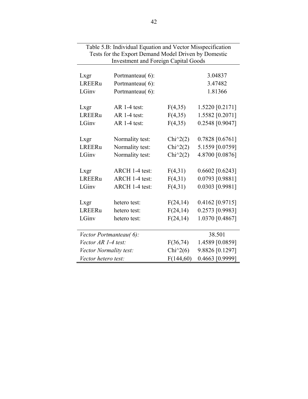| $\sigma$ . $\sigma$ . Then reduce Equation and rector misspectrication<br>Tests for the Export Demand Model Driven by Domestic<br><b>Investment and Foreign Capital Goods</b> |                 |                      |                   |  |  |  |  |  |
|-------------------------------------------------------------------------------------------------------------------------------------------------------------------------------|-----------------|----------------------|-------------------|--|--|--|--|--|
|                                                                                                                                                                               |                 |                      |                   |  |  |  |  |  |
| Lxgr                                                                                                                                                                          | Portmanteau(6): |                      | 3.04837           |  |  |  |  |  |
| <b>LREERu</b>                                                                                                                                                                 | Portmanteau(6): |                      | 3.47482           |  |  |  |  |  |
| LGinv                                                                                                                                                                         | Portmanteau(6): |                      | 1.81366           |  |  |  |  |  |
| Lxgr                                                                                                                                                                          | $AR$ 1-4 test:  | F(4,35)              | 1.5220 [0.2171]   |  |  |  |  |  |
| LREERu                                                                                                                                                                        | $AR$ 1-4 test:  | F(4,35)              | 1.5582 [0.2071]   |  |  |  |  |  |
| LGinv                                                                                                                                                                         | $AR$ 1-4 test:  | F(4,35)              | 0.2548 [0.9047]   |  |  |  |  |  |
|                                                                                                                                                                               |                 |                      |                   |  |  |  |  |  |
| Lxgr                                                                                                                                                                          | Normality test: | Chi $\binom{2}{2}$   | 0.7828 [0.6761]   |  |  |  |  |  |
| <b>LREERu</b>                                                                                                                                                                 | Normality test: | $Chi^2(2)$           | 5.1559 [0.0759]   |  |  |  |  |  |
| LGinv                                                                                                                                                                         | Normality test: | Chi $^{\wedge}2(2)$  | 4.8700 [0.0876]   |  |  |  |  |  |
| Lxgr                                                                                                                                                                          | ARCH 1-4 test:  | F(4,31)              | $0.6602$ [0.6243] |  |  |  |  |  |
| LREERu                                                                                                                                                                        | ARCH 1-4 test:  | F(4,31)              | 0.0793 [0.9881]   |  |  |  |  |  |
| LGinv                                                                                                                                                                         | ARCH 1-4 test:  | F(4,31)              | 0.0303 [0.9981]   |  |  |  |  |  |
| Lxgr                                                                                                                                                                          | hetero test:    | F(24,14)             | $0.4162$ [0.9715] |  |  |  |  |  |
| LREERu                                                                                                                                                                        |                 |                      |                   |  |  |  |  |  |
|                                                                                                                                                                               | hetero test:    | F(24, 14)            | 0.2573 [0.9983]   |  |  |  |  |  |
| LGinv                                                                                                                                                                         | hetero test:    | F(24, 14)            | 1.0370 [0.4867]   |  |  |  |  |  |
| Vector Portmanteau(6):                                                                                                                                                        |                 |                      | 38.501            |  |  |  |  |  |
| Vector AR 1-4 test:                                                                                                                                                           |                 | F(36,74)             | 1.4589 [0.0859]   |  |  |  |  |  |
| Vector Normality test:                                                                                                                                                        |                 | Chi $\frac{1}{2}(6)$ | 9.8826 [0.1297]   |  |  |  |  |  |
| Vector hetero test:                                                                                                                                                           |                 | F(144,60)            | 0.4663 [0.9999]   |  |  |  |  |  |

Table 5.B: Individual Equation and Vector Misspecification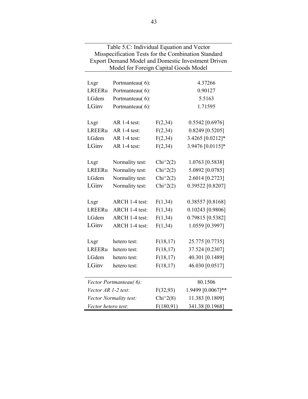| Table 5.C: Individual Equation and Vector           |                                                           |                    |                   |  |  |  |  |  |  |
|-----------------------------------------------------|-----------------------------------------------------------|--------------------|-------------------|--|--|--|--|--|--|
| Misspecification Tests for the Combination Standard |                                                           |                    |                   |  |  |  |  |  |  |
|                                                     | <b>Export Demand Model and Domestic Investment Driven</b> |                    |                   |  |  |  |  |  |  |
|                                                     | Model for Foreign Capital Goods Model                     |                    |                   |  |  |  |  |  |  |
| Lxgr                                                | Portmanteau(6):                                           |                    | 4.37266           |  |  |  |  |  |  |
| LREERu                                              | Portmanteau(6):                                           |                    | 0.90127           |  |  |  |  |  |  |
| LGdem                                               |                                                           |                    | 5.5163            |  |  |  |  |  |  |
| LGinv                                               | Portmanteau(6):                                           |                    |                   |  |  |  |  |  |  |
|                                                     | Portmanteau(6):                                           |                    | 1.71595           |  |  |  |  |  |  |
| Lxgr                                                | $AR$ 1-4 test:                                            | F(2, 34)           | $0.5542$ [0.6976] |  |  |  |  |  |  |
| LREERu                                              | AR 1-4 test:                                              | F(2, 34)           | 0.8249 [0.5205]   |  |  |  |  |  |  |
| LGdem                                               | $AR$ 1-4 test:                                            | F(2,34)            | 3.4265 [0.0212]*  |  |  |  |  |  |  |
| LGinv                                               | AR 1-4 test:                                              |                    | 3.9476 [0.0115]*  |  |  |  |  |  |  |
|                                                     |                                                           | F(2, 34)           |                   |  |  |  |  |  |  |
| Lxgr                                                | Normality test:                                           | Chi $\binom{2}{2}$ | 1.0763 [0.5838]   |  |  |  |  |  |  |
| LREERu                                              | Normality test:                                           | $Chi^2(2)$         | 5.0892 [0.0785]   |  |  |  |  |  |  |
| LGdem                                               | Normality test:                                           | $Chi^2(2)$         | 2.6014 [0.2723]   |  |  |  |  |  |  |
| LGinv                                               |                                                           |                    |                   |  |  |  |  |  |  |
|                                                     | Normality test:                                           | Chi $\binom{2}{2}$ | 0.39522 [0.8207]  |  |  |  |  |  |  |
| Lxgr                                                | ARCH 1-4 test:                                            | F(1,34)            | 0.38557 [0.8168]  |  |  |  |  |  |  |
| LREERu                                              | ARCH 1-4 test:                                            | F(1, 34)           | 0.10243 [0.9806]  |  |  |  |  |  |  |
| LGdem                                               | ARCH 1-4 test:                                            | F(1,34)            | 0.79815 [0.5382]  |  |  |  |  |  |  |
| LGinv                                               | ARCH 1-4 test:                                            | F(1,34)            | 1.0559 [0.3997]   |  |  |  |  |  |  |
|                                                     |                                                           |                    |                   |  |  |  |  |  |  |
| Lxgr                                                | hetero test:                                              | F(18,17)           | 25.775 [0.7735]   |  |  |  |  |  |  |
| LREERu                                              | hetero test:                                              | F(18,17)           | 37.524 [0.2307]   |  |  |  |  |  |  |
| LGdem                                               | hetero test:                                              | F(18,17)           | 40.301 [0.1489]   |  |  |  |  |  |  |
| LGinv                                               | hetero test:                                              | F(18,17)           | 46.030 [0.0517]   |  |  |  |  |  |  |
|                                                     |                                                           |                    |                   |  |  |  |  |  |  |
|                                                     | Vector Portmanteau(6):                                    |                    | 80.1506           |  |  |  |  |  |  |
| Vector AR 1-2 test:                                 |                                                           | F(32, 93)          | 1.9499 [0.0067]** |  |  |  |  |  |  |
|                                                     | Vector Normality test:                                    | $Chi^2(8)$         | 11.383 [0.1809]   |  |  |  |  |  |  |
| Vector hetero test:<br>F(180,91)<br>341.38 [0.1968] |                                                           |                    |                   |  |  |  |  |  |  |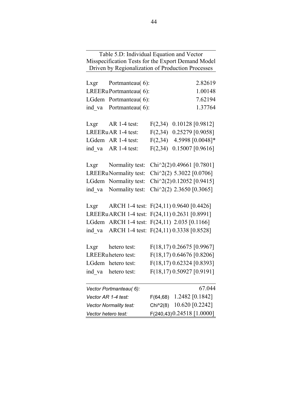Table 5.D: Individual Equation and Vector Misspecification Tests for the Export Demand Model Driven by Regionalization of Production Processes Lxgr Portmanteau( 6): 2.82619 LREERu Portmanteau( 6): 1.00148 LGdem Portmanteau( 6): 7.62194 ind va Portmanteau (6): 1.37764 Lxgr AR 1-4 test: F(2,34) 0.10128 [0.9812] LREERu AR 1-4 test: F(2,34) 0.25279 [0.9058] LGdem AR 1-4 test:  $F(2,34)$  4.5998  $[0.0048]*$ ind va AR 1-4 test:  $F(2,34)$  0.15007 [0.9616] Lxgr Normality test: Chi^2(2)0.49661 [0.7801] LREERu Normality test: Chi $\textdegree$ 2(2) 5.3022 [0.0706] LGdem Normality test: Chi^2(2)0.12052 [0.9415] ind va Normality test:  $Chi^2(2)$  2.3650 [0.3065] Lxgr ARCH 1-4 test: F(24,11) 0.9640 [0.4426] LREERu ARCH 1-4 test: F(24,11) 0.2631 [0.8991] LGdem ARCH 1-4 test: F(24,11) 2.035 [0.1166] ind va ARCH 1-4 test: F(24,11) 0.3338 [0.8528] Lxgr hetero test: F(18,17) 0.26675 [0.9967] LREERu hetero test: F(18,17) 0.64676 [0.8206] LGdem hetero test: F(18,17) 0.62324 [0.8393] ind va hetero test: F(18,17) 0.50927 [0.9191] *Vector Portmanteau( 6):* 67.044 *Vector AR 1-4 test:* F(64,68) 1.2482 [0.1842] *Vector Normality test:* Chi^2(8) 10.620 [0.2242] *Vector hetero test:* F(240,43)  $0.24518$  [1.0000]

44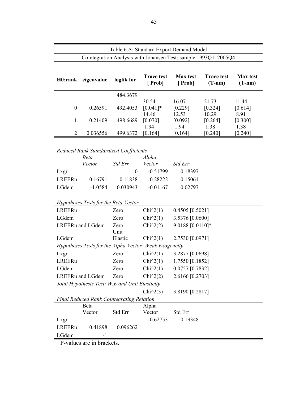| Table 6.A: Standard Export Demand Model |                                                        |                  |                             |                                                                 |                               |                             |  |
|-----------------------------------------|--------------------------------------------------------|------------------|-----------------------------|-----------------------------------------------------------------|-------------------------------|-----------------------------|--|
|                                         |                                                        |                  |                             | Cointegration Analysis with Johansen Test: sample 1993Q1-2005Q4 |                               |                             |  |
|                                         |                                                        |                  |                             |                                                                 |                               |                             |  |
| H0:rank                                 | eigenvalue                                             | loglik for       | <b>Trace test</b><br>[Prob] | <b>Max</b> test<br>[Prob]                                       | <b>Trace test</b><br>$(T-nm)$ | <b>Max</b> test<br>$(T-nm)$ |  |
|                                         |                                                        | 484.3679         |                             |                                                                 |                               |                             |  |
|                                         |                                                        |                  | 30.54                       | 16.07                                                           | 21.73                         | 11.44                       |  |
| $\boldsymbol{0}$                        | 0.26591                                                | 492.4053         | $[0.041]$ *                 | [0.229]                                                         | [0.324]                       | [0.614]                     |  |
|                                         |                                                        |                  | 14.46                       | 12.53                                                           | 10.29                         | 8.91                        |  |
| 1                                       | 0.21409                                                | 498.6689         | [0.070]<br>1.94             | [0.092]<br>1.94                                                 | [0.264]<br>1.38               | [0.300]<br>1.38             |  |
| $\overline{2}$                          | 0.036556                                               | 499.6372         | [0.164]                     | [0.164]                                                         | [0.240]                       | [0.240]                     |  |
|                                         |                                                        |                  |                             |                                                                 |                               |                             |  |
|                                         | Reduced Rank Standardized Coefficients                 |                  |                             |                                                                 |                               |                             |  |
|                                         | <b>Beta</b>                                            |                  | Alpha                       |                                                                 |                               |                             |  |
|                                         | Vector                                                 | <b>Std Err</b>   | Vector                      | Std Err                                                         |                               |                             |  |
| Lxgr                                    | 1                                                      | $\boldsymbol{0}$ | $-0.51799$                  | 0.18397                                                         |                               |                             |  |
| <b>LREERu</b>                           | 0.16791                                                | 0.11838          | 0.28222                     | 0.15061                                                         |                               |                             |  |
| LGdem                                   | $-1.0584$                                              | 0.030943         | $-0.01167$                  | 0.02797                                                         |                               |                             |  |
|                                         |                                                        |                  |                             |                                                                 |                               |                             |  |
|                                         | Hypotheses Tests for the Beta Vector                   |                  |                             |                                                                 |                               |                             |  |
| LREERu                                  |                                                        | Zero             | $Chi^2(1)$                  | $0.4505$ [0.5021]                                               |                               |                             |  |
| LGdem                                   |                                                        | Zero             | $Chi^2(1)$                  | 3.5376 [0.0600]                                                 |                               |                             |  |
|                                         | LREERu and LGdem                                       | Zero             | $Chi^2(2)$                  | 9.0188 [0.0110]*                                                |                               |                             |  |
|                                         |                                                        | Unit             |                             |                                                                 |                               |                             |  |
| LGdem                                   |                                                        | Elastic          | $Chi^2(1)$                  | 2.7530 [0.0971]                                                 |                               |                             |  |
|                                         | Hypotheses Tests for the Alpha Vector: Weak Exogeneity |                  |                             |                                                                 |                               |                             |  |
| Lxgr                                    |                                                        | Zero             | $Chi^2(1)$                  | 3.2877 [0.0698]                                                 |                               |                             |  |
| LREERu                                  |                                                        | Zero             | $Chi^2(1)$                  | 1.7550 [0.1852]                                                 |                               |                             |  |
| LGdem                                   |                                                        | Zero             | $Chi^2(1)$                  | 0.0757 [0.7832]                                                 |                               |                             |  |
|                                         | LREERu and LGdem                                       | Zero             | Chi $\hat{2}(2)$            | 2.6166 [0.2703]                                                 |                               |                             |  |
|                                         | Joint Hypothesis Test: W.E and Unit Elasticity         |                  |                             |                                                                 |                               |                             |  |
|                                         |                                                        |                  | Chi $\binom{2}{3}$          | 3.8190 [0.2817]                                                 |                               |                             |  |
|                                         | <b>Final Reduced Rank Cointegrating Relation</b>       |                  |                             |                                                                 |                               |                             |  |
|                                         | Beta                                                   |                  | Alpha                       |                                                                 |                               |                             |  |
|                                         | Vector                                                 | Std Err          | Vector                      | Std Err                                                         |                               |                             |  |
| Lxgr                                    | 1                                                      |                  | $-0.62753$                  | 0.19348                                                         |                               |                             |  |
| LREERu                                  | 0.41898                                                | 0.096262         |                             |                                                                 |                               |                             |  |
| LGdem                                   | -1                                                     |                  |                             |                                                                 |                               |                             |  |

P-values are in brackets.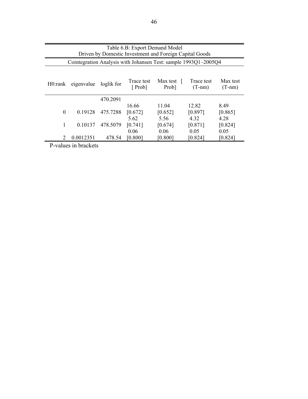| Table 6.B: Export Demand Model<br>Driven by Domestic Investment and Foreign Capital Goods                                          |           |          |                          |                                                                 |                          |                         |  |  |
|------------------------------------------------------------------------------------------------------------------------------------|-----------|----------|--------------------------|-----------------------------------------------------------------|--------------------------|-------------------------|--|--|
|                                                                                                                                    |           |          |                          |                                                                 |                          |                         |  |  |
|                                                                                                                                    |           |          |                          | Cointegration Analysis with Johansen Test: sample 1993Q1-2005Q4 |                          |                         |  |  |
| Max test<br>Max test<br>Trace test<br>Trace test<br>eigenvalue<br>loglik for<br>H0:rank<br>[Prob]<br>Prob]<br>$(T-nm)$<br>$(T-nm)$ |           |          |                          |                                                                 |                          |                         |  |  |
|                                                                                                                                    |           | 470.2091 |                          |                                                                 |                          |                         |  |  |
| $\theta$                                                                                                                           | 0.19128   | 475.7288 | 16.66<br>[0.672]<br>5.62 | 11.04<br>[0.652]<br>5.56                                        | 12.82<br>[0.897]<br>4.32 | 8.49<br>[0.865]<br>4.28 |  |  |
| 1                                                                                                                                  | 0.10137   | 478.5079 | [0.741]                  | [0.674]                                                         | [0.871]                  | [0.824]                 |  |  |
|                                                                                                                                    |           |          | 0.06                     | 0.06                                                            | 0.05                     | 0.05                    |  |  |
| $\mathcal{L}$                                                                                                                      | 0.0012351 | 478.54   | [0.800]                  | [0.800]                                                         | [0.824]                  | [0.824]                 |  |  |

P-values in brackets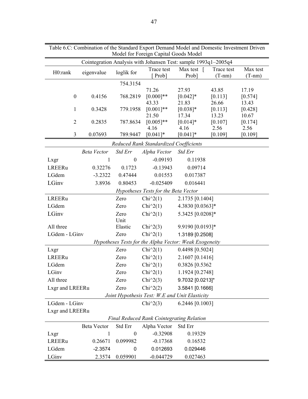|                  | radic o.C. Comomation of the Standard Export Demand Model and Domestic myestinent Driven |                  | Model for Foreign Capital Goods Model                           |                     |                  |                  |
|------------------|------------------------------------------------------------------------------------------|------------------|-----------------------------------------------------------------|---------------------|------------------|------------------|
|                  |                                                                                          |                  | Cointegration Analysis with Johansen Test: sample 1993q1-2005q4 |                     |                  |                  |
| H0:rank          | eigenvalue                                                                               | loglik for       | Trace test                                                      | Max test $\lceil$   | Trace test       | Max test         |
|                  |                                                                                          |                  | Prob]                                                           | Prob]               | $(T-nm)$         | $(T-nm)$         |
|                  |                                                                                          | 754.3154         |                                                                 |                     |                  |                  |
|                  |                                                                                          |                  | 71.26                                                           | 27.93               | 43.85            | 17.19            |
| $\boldsymbol{0}$ | 0.4156                                                                                   | 768.2819         | $[0.000]**$                                                     | $[0.042]*$          | [0.113]<br>26.66 | [0.574]<br>13.43 |
| $\mathbf{1}$     | 0.3428                                                                                   | 779.1958         | 43.33<br>$[0.001]**$                                            | 21.83<br>$[0.038]*$ | [0.113]          | [0.428]          |
|                  |                                                                                          |                  | 21.50                                                           | 17.34               | 13.23            | 10.67            |
| $\overline{2}$   | 0.2835                                                                                   | 787.8634         | $[0.005]**$                                                     | $[0.014]*$          | [0.107]          | [0.174]          |
|                  |                                                                                          |                  | 4.16                                                            | 4.16                | 2.56             | 2.56             |
| $\mathfrak{Z}$   | 0.07693                                                                                  | 789.9447         | $[0.041]$ *                                                     | $[0.041]*$          | [0.109]          | [0.109]          |
|                  |                                                                                          |                  | Reduced Rank Standardized Coefficients                          |                     |                  |                  |
|                  | <b>Beta Vector</b>                                                                       | Std Err          | Alpha Vector                                                    | Std Err             |                  |                  |
| Lxgr             | $\mathbf{1}$                                                                             | $\boldsymbol{0}$ | $-0.09193$                                                      | 0.11938             |                  |                  |
| LREERu           | 0.32276                                                                                  | 0.1723           | $-0.13943$                                                      | 0.09714             |                  |                  |
| LGdem            | $-3.2322$                                                                                | 0.47444          | 0.01553                                                         | 0.017387            |                  |                  |
| LGinv            | 3.8936                                                                                   | 0.80453          | $-0.025409$                                                     | 0.016441            |                  |                  |
|                  |                                                                                          |                  | Hypotheses Tests for the Beta Vector                            |                     |                  |                  |
| LREERu           |                                                                                          | Zero             | $Chi^2(1)$                                                      | 2.1735 [0.1404]     |                  |                  |
| LGdem            |                                                                                          | Zero             | $Chi^2(1)$                                                      | 4.3830 [0.0363]*    |                  |                  |
| LGinv            |                                                                                          | Zero             | $Chi^2(1)$                                                      | 5.3425 [0.0208]*    |                  |                  |
|                  |                                                                                          | Unit             |                                                                 |                     |                  |                  |
| All three        |                                                                                          | Elastic          | Chi $\binom{2}{3}$                                              | 9.9190 [0.0193]*    |                  |                  |
| LGdem - LGinv    |                                                                                          | Zero             | $Chi^2(1)$                                                      | 1.3189 [0.2508]     |                  |                  |
|                  |                                                                                          |                  | Hypotheses Tests for the Alpha Vector: Weak Exogeneity          |                     |                  |                  |
| Lxgr             |                                                                                          | Zero             | $Chi^2(1)$                                                      | 0.4498 [0.5024]     |                  |                  |
| LREERu           |                                                                                          | Zero             | $Chi^2(1)$                                                      | 2.1607 [0.1416]     |                  |                  |
| LGdem            |                                                                                          | Zero             | $Chi^2(1)$                                                      | 0.3826 [0.5362      |                  |                  |
| LGinv            |                                                                                          | Zero             | $Chi^2(1)$                                                      | 1.1924 [0.2748]     |                  |                  |
| All three        |                                                                                          | Zero             | $Chi^2(3)$                                                      | 9.7032 [0.0213]*    |                  |                  |
| Lxgr and LREERu  |                                                                                          | Zero             | Chi $\binom{2}{2}$                                              | 3.5841 [0.1666]     |                  |                  |
|                  |                                                                                          |                  | Joint Hypothesis Test: W.E and Unit Elasticity                  |                     |                  |                  |
| LGdem - LGinv    |                                                                                          |                  | $Chi^2(3)$                                                      | 6.2446 [0.1003]     |                  |                  |
| Lxgr and LREERu  |                                                                                          |                  |                                                                 |                     |                  |                  |
|                  |                                                                                          |                  | <b>Final Reduced Rank Cointegrating Relation</b>                |                     |                  |                  |
|                  | <b>Beta Vector</b>                                                                       | Std Err          | Alpha Vector                                                    | Std Err             |                  |                  |
| Lxgr             | 1                                                                                        | $\boldsymbol{0}$ | $-0.32908$                                                      | 0.19329             |                  |                  |
| LREERu           | 0.26671                                                                                  | 0.099982         | $-0.17368$                                                      | 0.16532             |                  |                  |
| LGdem            | $-2.3574$                                                                                | 0                | 0.012693                                                        | 0.029446            |                  |                  |
| LGinv            | 2.3574                                                                                   | 0.059901         | $-0.044729$                                                     | 0.027463            |                  |                  |

Table 6.C: Combination of the Standard Export Demand Model and Domestic Investment Driven

 $\sim$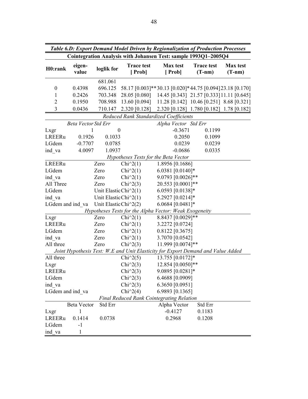|                  | Table 6.D: Export Demand Model Driven by Regionalization of Production Processes |                                                    |                             |                                                                                  |                               |                             |  |  |  |
|------------------|----------------------------------------------------------------------------------|----------------------------------------------------|-----------------------------|----------------------------------------------------------------------------------|-------------------------------|-----------------------------|--|--|--|
|                  |                                                                                  |                                                    |                             | Cointegration Analysis with Johansen Test: sample 1993Q1-2005Q4                  |                               |                             |  |  |  |
| H0:rank          | eigen-<br>value                                                                  | loglik for                                         | <b>Trace test</b><br>[Prob] | <b>Max</b> test<br>[Prob]                                                        | <b>Trace test</b><br>$(T-nm)$ | <b>Max</b> test<br>$(T-nm)$ |  |  |  |
|                  |                                                                                  | 681.061                                            |                             |                                                                                  |                               |                             |  |  |  |
| $\boldsymbol{0}$ | 0.4398                                                                           | 696.125                                            |                             | 58.17 [0.003]**30.13 [0.020]*44.75 [0.094]23.18 [0.170]                          |                               |                             |  |  |  |
| $\mathbf{1}$     | 0.2426                                                                           | 703.348                                            | 28.05 [0.080]               | 14.45 [0.343] 21.57 [0.333] 11.11 [0.645]                                        |                               |                             |  |  |  |
| $\overline{2}$   | 0.1950                                                                           | 708.988                                            | 13.60 [0.094]               | 11.28 [0.142] 10.46 [0.251] 8.68 [0.321]                                         |                               |                             |  |  |  |
| 3                | 0.0436                                                                           | 710.147                                            | $2.320$ [0.128]             | 2.320 [0.128] 1.780 [0.182] 1.78 [0.182]                                         |                               |                             |  |  |  |
|                  |                                                                                  |                                                    |                             | Reduced Rank Standardized Coefficients                                           |                               |                             |  |  |  |
|                  | <b>Beta Vector Std Err</b>                                                       |                                                    |                             | Alpha Vector Std Err                                                             |                               |                             |  |  |  |
| Lxgr             | 1                                                                                | $\boldsymbol{0}$                                   |                             | $-0.3671$                                                                        | 0.1199                        |                             |  |  |  |
| LREERu           | 0.1926                                                                           | 0.1033                                             |                             | 0.2050                                                                           | 0.1099                        |                             |  |  |  |
| LGdem            | $-0.7707$                                                                        | 0.0785                                             |                             | 0.0239                                                                           | 0.0239                        |                             |  |  |  |
| ind va           | 4.0097                                                                           | 1.0937                                             |                             | $-0.0686$                                                                        | 0.0335                        |                             |  |  |  |
|                  |                                                                                  |                                                    |                             | Hypotheses Tests for the Beta Vector                                             |                               |                             |  |  |  |
| LREERu           |                                                                                  | Zero                                               | $Chi^2(1)$                  | 1.8956 [0.1686]                                                                  |                               |                             |  |  |  |
| LGdem            |                                                                                  | Zero                                               | $Chi^2(1)$                  | 6.0381 [0.0140]*                                                                 |                               |                             |  |  |  |
| ind va           |                                                                                  | Zero                                               | $Chi^2(1)$                  | 9.0793 [0.0026]**                                                                |                               |                             |  |  |  |
| All Three        |                                                                                  | Zero                                               | $Chi^2(3)$                  | 20.553 [0.0001]**                                                                |                               |                             |  |  |  |
| LGdem            |                                                                                  | Unit Elastic Chi^2(1)                              |                             | 6.0593 [0.0138]*                                                                 |                               |                             |  |  |  |
| ind va           |                                                                                  | Unit Elastic Chi^2(1)                              |                             | 5.2927 [0.0214]*                                                                 |                               |                             |  |  |  |
|                  | LGdem and ind va                                                                 | Unit Elastic Chi <sup><math>\sim</math></sup> 2(2) |                             | 6.0684 [0.0481]*                                                                 |                               |                             |  |  |  |
|                  |                                                                                  |                                                    |                             | Hypotheses Tests for the Alpha Vector: Weak Exogeneity                           |                               |                             |  |  |  |
| Lxgr             |                                                                                  | Zero                                               | $Chi^2(1)$                  | 8.8437 [0.0029]**                                                                |                               |                             |  |  |  |
| LREERu           |                                                                                  | Zero                                               | $Chi^2(1)$                  | 3.2272 [0.0724]                                                                  |                               |                             |  |  |  |
| LGdem            |                                                                                  | Zero                                               | $Chi^2(1)$                  | $0.8122$ [0.3675]                                                                |                               |                             |  |  |  |
| ind va           |                                                                                  | Zero                                               | $Chi^2(1)$                  | 3.7070 [0.0542]                                                                  |                               |                             |  |  |  |
| All three        |                                                                                  | Zero                                               | Chi $\binom{2}{3}$          | 11.999 [0.0074]**                                                                |                               |                             |  |  |  |
|                  |                                                                                  |                                                    |                             | Joint Hypothesis Test: W.E and Unit Elasticity for Export Demand and Value Added |                               |                             |  |  |  |
| All three        |                                                                                  |                                                    | Chi $\sqrt{2(5)}$           | 13.755 [0.0172]*                                                                 |                               |                             |  |  |  |
| Lxgr             |                                                                                  |                                                    | Chi $\binom{2}{3}$          | 12.854 [0.0050]**                                                                |                               |                             |  |  |  |
| LREERu           |                                                                                  |                                                    | Chi $\sqrt{2(3)}$           | 9.0895 [0.0281]*                                                                 |                               |                             |  |  |  |
| LGdem            |                                                                                  |                                                    | Chi $\binom{2}{3}$          | 6.4688 [0.0909]                                                                  |                               |                             |  |  |  |
| ind va           |                                                                                  |                                                    | Chi $\sqrt{2(3)}$           | 6.3650 [0.0951]                                                                  |                               |                             |  |  |  |
|                  | LGdem and ind va                                                                 |                                                    | Chi $\frac{1}{2}(4)$        | 6.9893 [0.1365]                                                                  |                               |                             |  |  |  |
|                  |                                                                                  |                                                    |                             | <b>Final Reduced Rank Cointegrating Relation</b>                                 |                               |                             |  |  |  |
|                  | <b>Beta Vector</b>                                                               | Std Err                                            |                             | Alpha Vector                                                                     | Std Err                       |                             |  |  |  |
| Lxgr             | 1                                                                                |                                                    |                             | $-0.4127$                                                                        | 0.1183                        |                             |  |  |  |
| LREERu           | 0.1414                                                                           | 0.0738                                             |                             | 0.2968                                                                           | 0.1208                        |                             |  |  |  |
| LGdem            | $-1$                                                                             |                                                    |                             |                                                                                  |                               |                             |  |  |  |
| ind va           | 1                                                                                |                                                    |                             |                                                                                  |                               |                             |  |  |  |

 $\overline{\phantom{0}}$